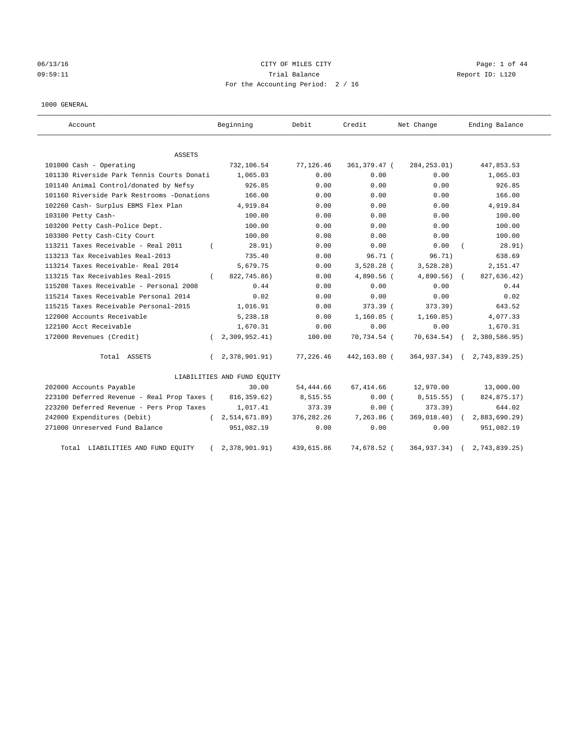# 06/13/16 CITY OF MILES CITY Page: 1 of 44 09:59:11 Trial Balance Report ID: L120 For the Accounting Period: 2 / 16

#### 1000 GENERAL

| Account                                      | Beginning                   | Debit       | Credit       | Net Change    | Ending Balance |
|----------------------------------------------|-----------------------------|-------------|--------------|---------------|----------------|
| ASSETS                                       |                             |             |              |               |                |
| 101000 Cash - Operating                      | 732,106.54                  | 77,126.46   | 361,379.47 ( | 284, 253.01)  | 447,853.53     |
| 101130 Riverside Park Tennis Courts Donati   | 1,065.03                    | 0.00        | 0.00         | 0.00          | 1,065.03       |
| 101140 Animal Control/donated by Nefsy       | 926.85                      | 0.00        | 0.00         | 0.00          | 926.85         |
| 101160 Riverside Park Restrooms -Donations   | 166.00                      | 0.00        | 0.00         | 0.00          | 166.00         |
| 102260 Cash- Surplus EBMS Flex Plan          | 4,919.84                    | 0.00        | 0.00         | 0.00          | 4,919.84       |
| 103100 Petty Cash-                           | 100.00                      | 0.00        | 0.00         | 0.00          | 100.00         |
| 103200 Petty Cash-Police Dept.               | 100.00                      | 0.00        | 0.00         | 0.00          | 100.00         |
| 103300 Petty Cash-City Court                 | 100.00                      | 0.00        | 0.00         | 0.00          | 100.00         |
| 113211 Taxes Receivable - Real 2011          | 28.91)                      | 0.00        | 0.00         | 0.00          | 28.91)         |
| 113213 Tax Receivables Real-2013             | 735.40                      | 0.00        | 96.71 (      | 96.71)        | 638.69         |
| 113214 Taxes Receivable- Real 2014           | 5,679.75                    | 0.00        | 3,528.28 (   | 3,528.28)     | 2,151.47       |
| 113215 Tax Receivables Real-2015<br>$\left($ | 822,745.86)                 | 0.00        | 4,890.56 (   | $4,890.56$ (  | 827,636.42)    |
| 115208 Taxes Receivable - Personal 2008      | 0.44                        | 0.00        | 0.00         | 0.00          | 0.44           |
| 115214 Taxes Receivable Personal 2014        | 0.02                        | 0.00        | 0.00         | 0.00          | 0.02           |
| 115215 Taxes Receivable Personal-2015        | 1,016.91                    | 0.00        | 373.39 (     | 373.39)       | 643.52         |
| 122000 Accounts Receivable                   | 5,238.18                    | 0.00        | $1,160.85$ ( | 1, 160.85)    | 4,077.33       |
| 122100 Acct Receivable                       | 1,670.31                    | 0.00        | 0.00         | 0.00          | 1,670.31       |
| 172000 Revenues (Credit)                     | 2,309,952.41)               | 100.00      | 70,734.54 (  | 70,634.54)    | 2,380,586.95)  |
| Total ASSETS                                 | 2,378,901.91)<br>$\left($   | 77,226.46   | 442,163.80 ( | 364,937.34) ( | 2,743,839.25)  |
|                                              | LIABILITIES AND FUND EQUITY |             |              |               |                |
| 202000 Accounts Payable                      | 30.00                       | 54,444.66   | 67, 414.66   | 12,970.00     | 13,000.00      |
| 223100 Deferred Revenue - Real Prop Taxes (  | 816, 359.62)                | 8,515.55    | 0.00(        | 8,515.55)     | 824,875.17)    |
| 223200 Deferred Revenue - Pers Prop Taxes    | 1,017.41                    | 373.39      | 0.00(        | 373.39        | 644.02         |
| 242000 Expenditures (Debit)                  | 2,514,671.89)<br>$\sqrt{2}$ | 376, 282.26 | 7,263.86 (   | 369,018.40)   | 2,883,690.29)  |
| 271000 Unreserved Fund Balance               | 951,082.19                  | 0.00        | 0.00         | 0.00          | 951,082.19     |
| Total LIABILITIES AND FUND EQUITY            | 2,378,901.91)               | 439,615.86  | 74,678.52 (  | 364,937.34)   | 2,743,839.25)  |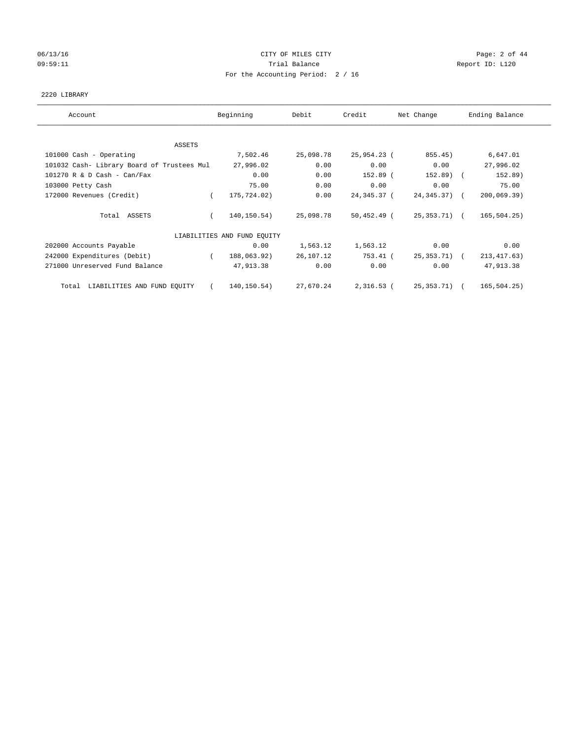## 06/13/16 CITY OF MILES CITY Page: 2 of 44 09:59:11 **Trial Balance Constanting Trial Balance Report ID:** L120 For the Accounting Period: 2 / 16

## 2220 LIBRARY

| Account                                    | Beginning                   | Debit     | Credit        | Net Change      | Ending Balance |
|--------------------------------------------|-----------------------------|-----------|---------------|-----------------|----------------|
|                                            |                             |           |               |                 |                |
| ASSETS                                     |                             |           |               |                 |                |
| 101000 Cash - Operating                    | 7,502.46                    | 25,098.78 | 25,954.23 (   | 855.45)         | 6,647.01       |
| 101032 Cash- Library Board of Trustees Mul | 27,996.02                   | 0.00      | 0.00          | 0.00            | 27,996.02      |
| $101270$ R & D Cash - Can/Fax              | 0.00                        | 0.00      | 152.89 (      | 152.89) (       | 152.89)        |
| 103000 Petty Cash                          | 75.00                       | 0.00      | 0.00          | 0.00            | 75.00          |
| 172000 Revenues (Credit)                   | 175,724.02)                 | 0.00      | 24,345.37 (   | $24, 345, 37$ ( | 200,069.39)    |
| Total ASSETS                               | 140,150.54)                 | 25,098.78 | $50,452.49$ ( | 25,353.71) (    | 165, 504.25)   |
|                                            | LIABILITIES AND FUND EQUITY |           |               |                 |                |
| 202000 Accounts Payable                    | 0.00                        | 1,563.12  | 1,563.12      | 0.00            | 0.00           |
| 242000 Expenditures (Debit)                | 188,063.92)                 | 26,107.12 | 753.41 (      | 25,353.71) (    | 213, 417.63)   |
| 271000 Unreserved Fund Balance             | 47,913.38                   | 0.00      | 0.00          | 0.00            | 47,913.38      |
| LIABILITIES AND FUND EQUITY<br>Total       | 140,150.54)                 | 27,670.24 | $2,316.53$ (  | 25, 353.71)     | 165, 504.25)   |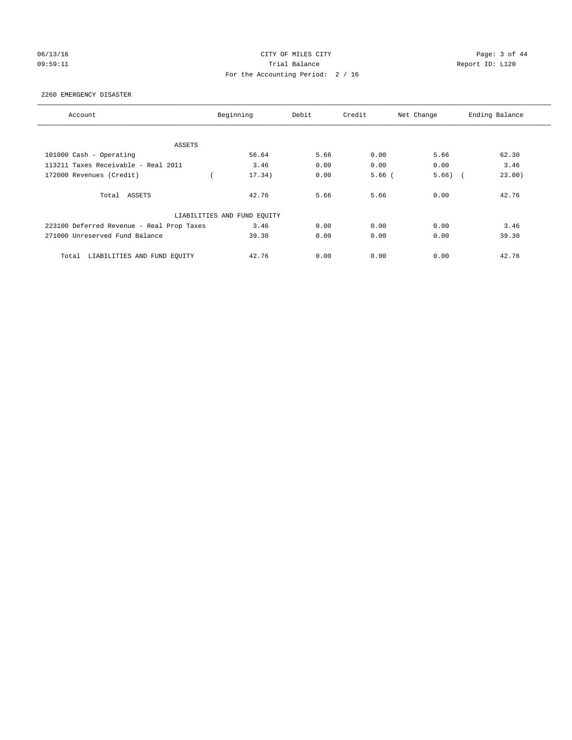## 06/13/16 CITY OF MILES CITY Page: 3 of 44 09:59:11 Trial Balance Report ID: L120 For the Accounting Period: 2 / 16

#### 2260 EMERGENCY DISASTER

| Account                                   | Beginning                   | Debit | Credit   | Net Change | Ending Balance |
|-------------------------------------------|-----------------------------|-------|----------|------------|----------------|
|                                           |                             |       |          |            |                |
| ASSETS                                    |                             |       |          |            |                |
| 101000 Cash - Operating                   | 56.64                       | 5.66  | 0.00     | 5.66       | 62.30          |
| 113211 Taxes Receivable - Real 2011       | 3.46                        | 0.00  | 0.00     | 0.00       | 3.46           |
| 172000 Revenues (Credit)                  | 17.34)                      | 0.00  | $5.66$ ( | 5.66)      | 23.00)         |
| Total ASSETS                              | 42.76                       | 5.66  | 5.66     | 0.00       | 42.76          |
|                                           | LIABILITIES AND FUND EQUITY |       |          |            |                |
| 223100 Deferred Revenue - Real Prop Taxes | 3.46                        | 0.00  | 0.00     | 0.00       | 3.46           |
| 271000 Unreserved Fund Balance            | 39.30                       | 0.00  | 0.00     | 0.00       | 39.30          |
| LIABILITIES AND FUND EQUITY<br>Total      | 42.76                       | 0.00  | 0.00     | 0.00       | 42.76          |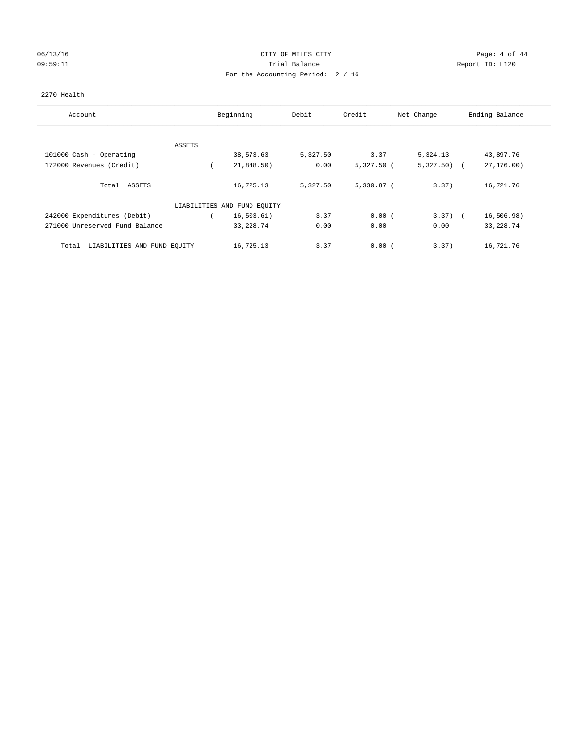## 06/13/16 CITY OF MILES CITY Page: 4 of 44 09:59:11 **Trial Balance Constanting Trial Balance Report ID:** L120 For the Accounting Period: 2 / 16

## 2270 Health

| Account                              | Beginning                   | Debit    | Credit       | Net Change   | Ending Balance |
|--------------------------------------|-----------------------------|----------|--------------|--------------|----------------|
|                                      |                             |          |              |              |                |
| ASSETS                               |                             |          |              |              |                |
| 101000 Cash - Operating              | 38,573.63                   | 5,327.50 | 3.37         | 5,324.13     | 43,897.76      |
| 172000 Revenues (Credit)             | 21,848.50)                  | 0.00     | $5,327.50$ ( | $5,327.50$ ( | 27, 176.00     |
| Total ASSETS                         | 16,725.13                   | 5,327.50 | $5,330.87$ ( | 3.37)        | 16,721.76      |
|                                      | LIABILITIES AND FUND EQUITY |          |              |              |                |
| 242000 Expenditures (Debit)          | 16, 503.61)                 | 3.37     | 0.00(        | $3.37)$ (    | 16,506.98)     |
| 271000 Unreserved Fund Balance       | 33, 228.74                  | 0.00     | 0.00         | 0.00         | 33, 228.74     |
| LIABILITIES AND FUND EQUITY<br>Total | 16,725.13                   | 3.37     | 0.00(        | 3.37)        | 16,721.76      |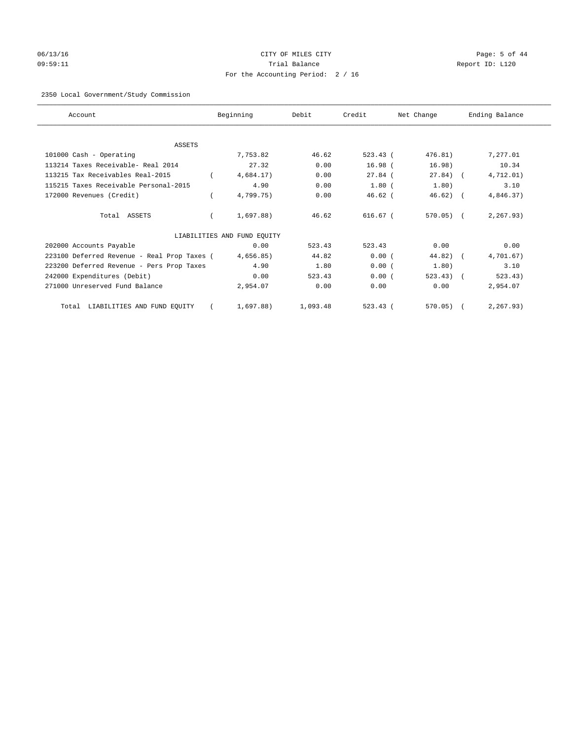# 06/13/16 Page: 5 of 44 09:59:11 Trial Balance Report ID: L120 For the Accounting Period: 2 / 16

## 2350 Local Government/Study Commission

| Account                                     | Beginning                   | Debit    | Credit     | Net Change   | Ending Balance |
|---------------------------------------------|-----------------------------|----------|------------|--------------|----------------|
|                                             |                             |          |            |              |                |
| <b>ASSETS</b>                               |                             |          |            |              |                |
| 101000 Cash - Operating                     | 7,753.82                    | 46.62    | 523.43(    | 476.81)      | 7,277.01       |
| 113214 Taxes Receivable- Real 2014          | 27.32                       | 0.00     | $16.98$ (  | 16.98)       | 10.34          |
| 113215 Tax Receivables Real-2015            | 4,684.17)                   | 0.00     | $27.84$ (  | $27.84$ ) (  | 4,712.01)      |
| 115215 Taxes Receivable Personal-2015       | 4.90                        | 0.00     | $1.80$ (   | 1.80)        | 3.10           |
| 172000 Revenues (Credit)                    | 4,799.75)                   | 0.00     | $46.62$ (  | $46.62$ ) (  | 4,846.37)      |
| Total ASSETS                                | 1,697.88)                   | 46.62    | $616.67$ ( | $570.05$ ) ( | 2, 267.93)     |
|                                             | LIABILITIES AND FUND EQUITY |          |            |              |                |
| 202000 Accounts Payable                     | 0.00                        | 523.43   | 523.43     | 0.00         | 0.00           |
| 223100 Deferred Revenue - Real Prop Taxes ( | 4,656.85)                   | 44.82    | 0.00(      | $44.82$ ) (  | 4,701.67)      |
| 223200 Deferred Revenue - Pers Prop Taxes   | 4.90                        | 1.80     | 0.00(      | 1.80)        | 3.10           |
| 242000 Expenditures (Debit)                 | 0.00                        | 523.43   | 0.00(      | 523.43)      | 523.43)        |
| 271000 Unreserved Fund Balance              | 2,954.07                    | 0.00     | 0.00       | 0.00         | 2,954.07       |
| Total LIABILITIES AND FUND EQUITY           | 1,697.88)                   | 1,093.48 | 523.43(    | 570.05)      | 2, 267.93)     |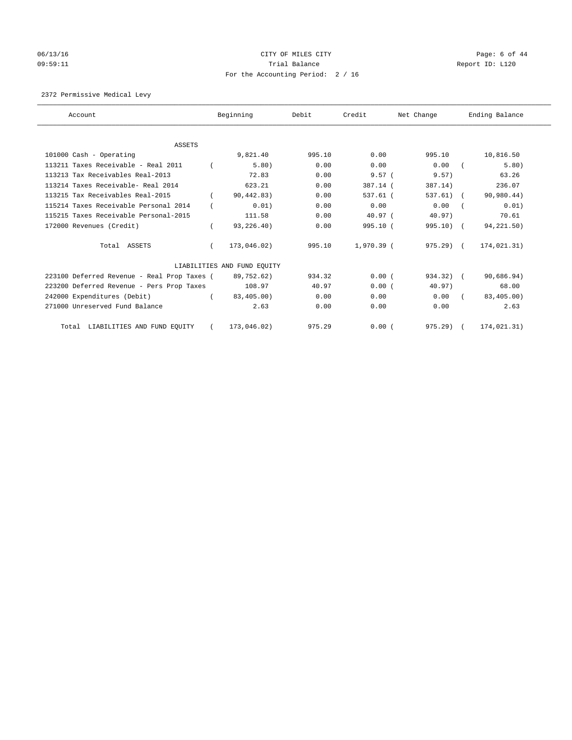# 06/13/16 CITY OF MILES CITY Page: 6 of 44 09:59:11 **Trial Balance Constanting Trial Balance Report ID:** L120 For the Accounting Period: 2 / 16

2372 Permissive Medical Levy

| Account                                     | Beginning                   | Debit  | Credit     | Net Change  | Ending Balance |
|---------------------------------------------|-----------------------------|--------|------------|-------------|----------------|
| <b>ASSETS</b>                               |                             |        |            |             |                |
| 101000 Cash - Operating                     | 9,821.40                    | 995.10 | 0.00       | 995.10      | 10,816.50      |
| 113211 Taxes Receivable - Real 2011         | 5.80)                       | 0.00   | 0.00       | 0.00        | 5.80)          |
| 113213 Tax Receivables Real-2013            | 72.83                       | 0.00   | 9.57(      | 9.57)       | 63.26          |
| 113214 Taxes Receivable- Real 2014          | 623.21                      | 0.00   | 387.14 (   | 387.14)     | 236.07         |
| 113215 Tax Receivables Real-2015            | 90,442.83)                  | 0.00   | $537.61$ ( | $537.61)$ ( | 90,980.44)     |
| 115214 Taxes Receivable Personal 2014       | 0.01)                       | 0.00   | 0.00       | 0.00        | 0.01)          |
| 115215 Taxes Receivable Personal-2015       | 111.58                      | 0.00   | 40.97(     | $40.97$ )   | 70.61          |
| 172000 Revenues (Credit)                    | 93,226.40)                  | 0.00   | 995.10(    | $995.10$ (  | 94,221.50)     |
| Total ASSETS                                | 173,046.02)                 | 995.10 | 1,970.39 ( | 975.29) (   | 174,021.31)    |
|                                             | LIABILITIES AND FUND EQUITY |        |            |             |                |
| 223100 Deferred Revenue - Real Prop Taxes ( | 89,752.62)                  | 934.32 | 0.00(      | 934.32) (   | 90,686.94)     |
| 223200 Deferred Revenue - Pers Prop Taxes   | 108.97                      | 40.97  | 0.00(      | 40.97)      | 68.00          |
| 242000 Expenditures (Debit)                 | 83,405.00)                  | 0.00   | 0.00       | 0.00        | 83,405.00)     |
| 271000 Unreserved Fund Balance              | 2.63                        | 0.00   | 0.00       | 0.00        | 2.63           |
| Total LIABILITIES AND FUND EQUITY           | 173,046.02)                 | 975.29 | 0.00(      | 975.29)     | 174,021.31)    |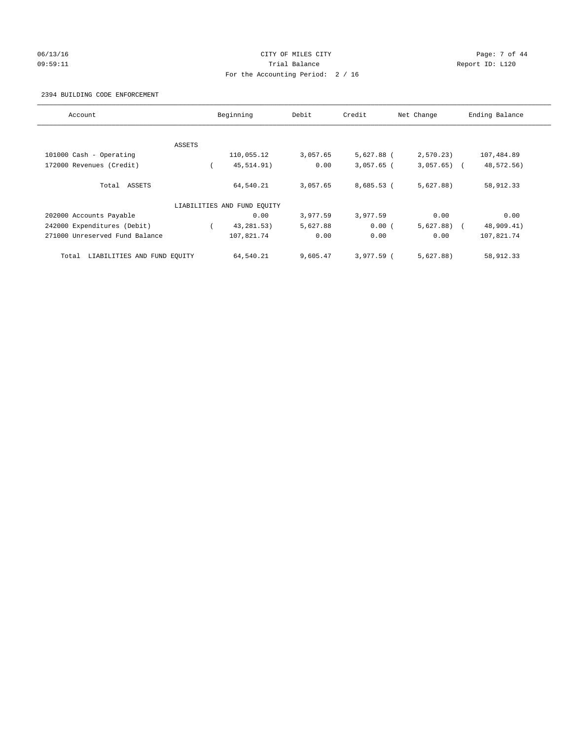## 06/13/16 CITY OF MILES CITY Page: 7 of 44 09:59:11 **Trial Balance Constanting Trial Balance Report ID:** L120 For the Accounting Period: 2 / 16

#### 2394 BUILDING CODE ENFORCEMENT

| Account                              |        | Beginning                   | Debit    | Credit       | Net Change   | Ending Balance |
|--------------------------------------|--------|-----------------------------|----------|--------------|--------------|----------------|
|                                      |        |                             |          |              |              |                |
|                                      | ASSETS |                             |          |              |              |                |
| 101000 Cash - Operating              |        | 110,055.12                  | 3,057.65 | 5,627.88 (   | 2,570.23)    | 107,484.89     |
| 172000 Revenues (Credit)             |        | 45, 514.91)                 | 0.00     | $3,057.65$ ( | $3,057.65$ ( | 48,572.56)     |
| Total ASSETS                         |        | 64,540.21                   | 3,057.65 | $8,685.53$ ( | 5,627.88)    | 58,912.33      |
|                                      |        | LIABILITIES AND FUND EQUITY |          |              |              |                |
| 202000 Accounts Payable              |        | 0.00                        | 3,977.59 | 3,977.59     | 0.00         | 0.00           |
| 242000 Expenditures (Debit)          |        | 43, 281. 53)                | 5,627.88 | 0.00(        | $5,627.88$ ( | 48,909.41)     |
| 271000 Unreserved Fund Balance       |        | 107,821.74                  | 0.00     | 0.00         | 0.00         | 107,821.74     |
| LIABILITIES AND FUND EQUITY<br>Total |        | 64,540.21                   | 9,605.47 | $3.977.59$ ( | 5,627.88)    | 58,912.33      |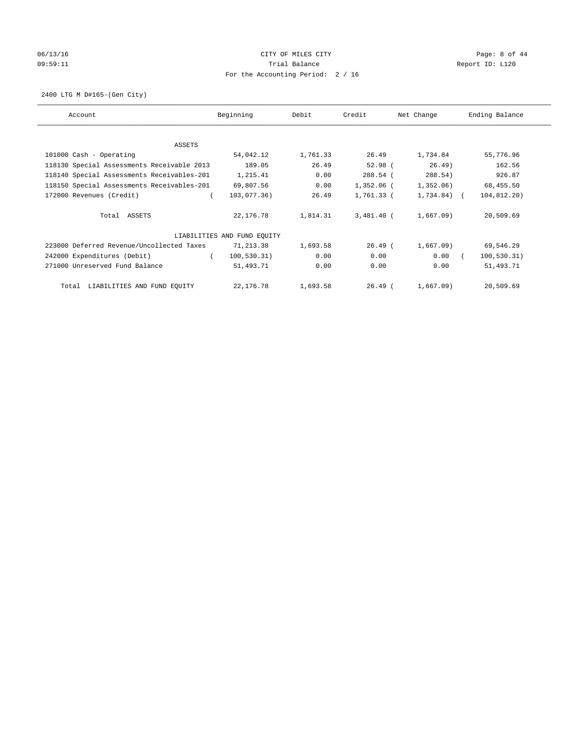# 06/13/16 CITY OF MILES CITY Page: 8 of 44 09:59:11 **Trial Balance Constanting Trial Balance Report ID:** L120 For the Accounting Period: 2 / 16

2400 LTG M D#165-(Gen City)

| Account                                    | Beginning                   | Debit    | Credit       | Net Change     | Ending Balance |
|--------------------------------------------|-----------------------------|----------|--------------|----------------|----------------|
|                                            |                             |          |              |                |                |
| ASSETS<br>101000 Cash - Operating          | 54,042.12                   | 1,761.33 | 26.49        | 1,734.84       | 55,776.96      |
| 118130 Special Assessments Receivable 2013 | 189.05                      | 26.49    | $52.98$ (    | 26.49)         | 162.56         |
| 118140 Special Assessments Receivables-201 | 1,215.41                    | 0.00     | 288.54 (     | 288.54)        | 926.87         |
| 118150 Special Assessments Receivables-201 | 69,807.56                   | 0.00     | $1,352.06$ ( | 1,352.06)      | 68,455.50      |
| 172000 Revenues (Credit)                   | 103,077.36)                 | 26.49    | $1,761.33$ ( | $1,734.84$ ) ( | 104,812.20)    |
| Total ASSETS                               | 22,176.78                   | 1,814.31 | $3,481.40$ ( | 1,667.09       | 20,509.69      |
|                                            | LIABILITIES AND FUND EQUITY |          |              |                |                |
| 223000 Deferred Revenue/Uncollected Taxes  | 71,213.38                   | 1,693.58 | $26.49$ (    | 1,667.09)      | 69,546.29      |
| 242000 Expenditures (Debit)                | 100, 530.31)                | 0.00     | 0.00         | 0.00           | 100, 530.31)   |
| 271000 Unreserved Fund Balance             | 51,493.71                   | 0.00     | 0.00         | 0.00           | 51,493.71      |
| LIABILITIES AND FUND EQUITY<br>Total       | 22,176.78                   | 1,693.58 | $26.49$ (    | 1,667.09)      | 20,509.69      |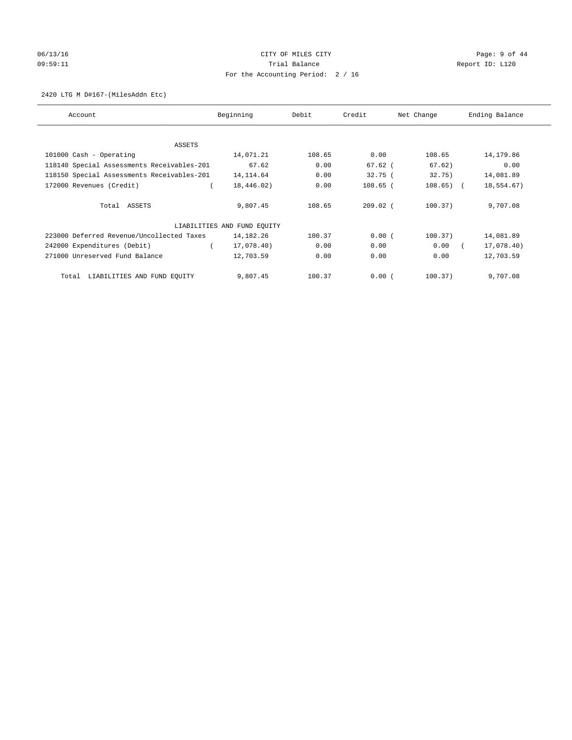# 06/13/16 CITY OF MILES CITY Page: 9 of 44 09:59:11 **Trial Balance Constanting Trial Balance Report ID:** L120 For the Accounting Period: 2 / 16

## 2420 LTG M D#167-(MilesAddn Etc)

| Account                                    | Beginning                   | Debit  | Credit     | Net Change  | Ending Balance |
|--------------------------------------------|-----------------------------|--------|------------|-------------|----------------|
| <b>ASSETS</b>                              |                             |        |            |             |                |
| 101000 Cash - Operating                    | 14,071.21                   | 108.65 | 0.00       | 108.65      | 14,179.86      |
| 118140 Special Assessments Receivables-201 | 67.62                       | 0.00   | $67.62$ (  | 67.62)      | 0.00           |
| 118150 Special Assessments Receivables-201 | 14, 114.64                  | 0.00   | 32.75(     | 32.75)      | 14,081.89      |
| 172000 Revenues (Credit)                   | 18,446.02)                  | 0.00   | $108.65$ ( | $108.65)$ ( | 18,554.67)     |
| Total ASSETS                               | 9,807.45                    | 108.65 | $209.02$ ( | 100.37)     | 9,707.08       |
|                                            | LIABILITIES AND FUND EQUITY |        |            |             |                |
| 223000 Deferred Revenue/Uncollected Taxes  | 14,182.26                   | 100.37 | 0.00(      | 100.37)     | 14,081.89      |
| 242000 Expenditures (Debit)                | 17,078.40)                  | 0.00   | 0.00       | 0.00        | 17,078.40)     |
| 271000 Unreserved Fund Balance             | 12,703.59                   | 0.00   | 0.00       | 0.00        | 12,703.59      |
| LIABILITIES AND FUND EQUITY<br>Total       | 9,807.45                    | 100.37 | 0.00(      | 100.37)     | 9,707.08       |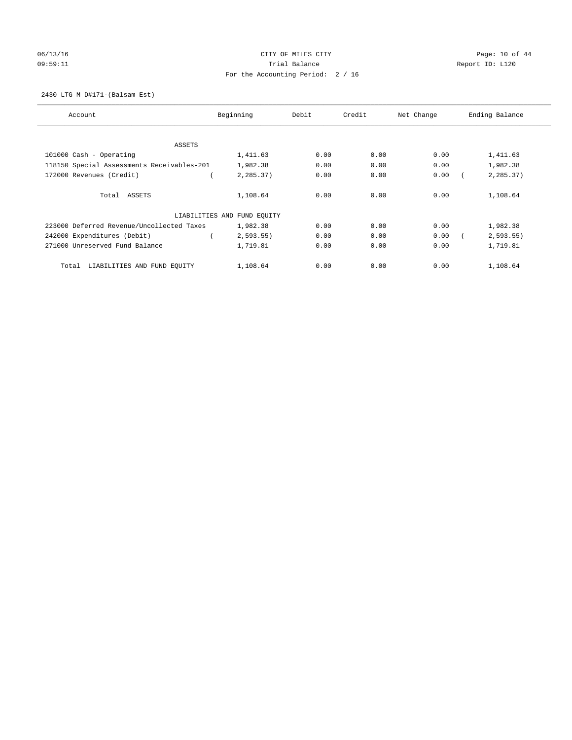# 06/13/16 Page: 10 of 44 09:59:11 **Trial Balance Constanting Trial Balance Report ID:** L120 For the Accounting Period: 2 / 16

2430 LTG M D#171-(Balsam Est)

| Account                                    | Beginning                   | Debit | Credit | Net Change | Ending Balance |
|--------------------------------------------|-----------------------------|-------|--------|------------|----------------|
|                                            |                             |       |        |            |                |
| ASSETS                                     |                             |       |        |            |                |
| 101000 Cash - Operating                    | 1,411.63                    | 0.00  | 0.00   | 0.00       | 1,411.63       |
| 118150 Special Assessments Receivables-201 | 1,982.38                    | 0.00  | 0.00   | 0.00       | 1,982.38       |
| 172000 Revenues (Credit)                   | 2,285.37)                   | 0.00  | 0.00   | 0.00       | 2,285.37)      |
| Total ASSETS                               | 1,108.64                    | 0.00  | 0.00   | 0.00       | 1,108.64       |
|                                            | LIABILITIES AND FUND EQUITY |       |        |            |                |
| 223000 Deferred Revenue/Uncollected Taxes  | 1,982.38                    | 0.00  | 0.00   | 0.00       | 1,982.38       |
| 242000 Expenditures (Debit)                | 2,593.55                    | 0.00  | 0.00   | 0.00       | 2, 593.55      |
| 271000 Unreserved Fund Balance             | 1,719.81                    | 0.00  | 0.00   | 0.00       | 1,719.81       |
| LIABILITIES AND FUND EQUITY<br>Total       | 1,108.64                    | 0.00  | 0.00   | 0.00       | 1,108.64       |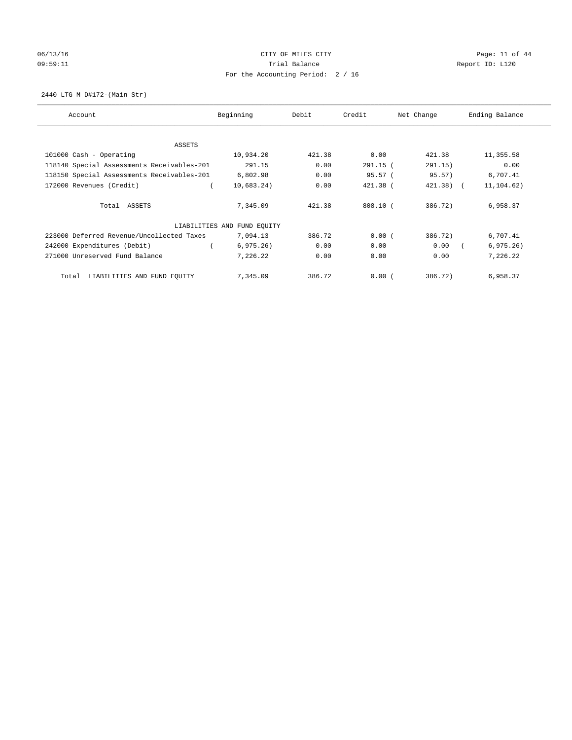# 06/13/16 Page: 11 of 44 09:59:11 **Trial Balance Constanting Trial Balance Report ID:** L120 For the Accounting Period: 2 / 16

2440 LTG M D#172-(Main Str)

| Account                                    | Beginning                   | Debit  | Credit     | Net Change   | Ending Balance |
|--------------------------------------------|-----------------------------|--------|------------|--------------|----------------|
| <b>ASSETS</b>                              |                             |        |            |              |                |
| 101000 Cash - Operating                    | 10,934.20                   | 421.38 | 0.00       | 421.38       | 11,355.58      |
| 118140 Special Assessments Receivables-201 | 291.15                      | 0.00   | $291.15$ ( | 291.15)      | 0.00           |
| 118150 Special Assessments Receivables-201 | 6,802.98                    | 0.00   | 95.57(     | 95.57)       | 6,707.41       |
| 172000 Revenues (Credit)                   | 10,683.24)                  | 0.00   | $421.38$ ( | $421.38$ ) ( | 11, 104.62)    |
| Total ASSETS                               | 7,345.09                    | 421.38 | $808.10$ ( | 386.72)      | 6,958.37       |
|                                            | LIABILITIES AND FUND EQUITY |        |            |              |                |
| 223000 Deferred Revenue/Uncollected Taxes  | 7,094.13                    | 386.72 | 0.00(      | 386.72)      | 6,707.41       |
| 242000 Expenditures (Debit)                | 6, 975.26)                  | 0.00   | 0.00       | 0.00         | 6, 975.26)     |
| 271000 Unreserved Fund Balance             | 7,226.22                    | 0.00   | 0.00       | 0.00         | 7,226.22       |
| LIABILITIES AND FUND EQUITY<br>Total       | 7,345.09                    | 386.72 | 0.00(      | 386.72)      | 6,958.37       |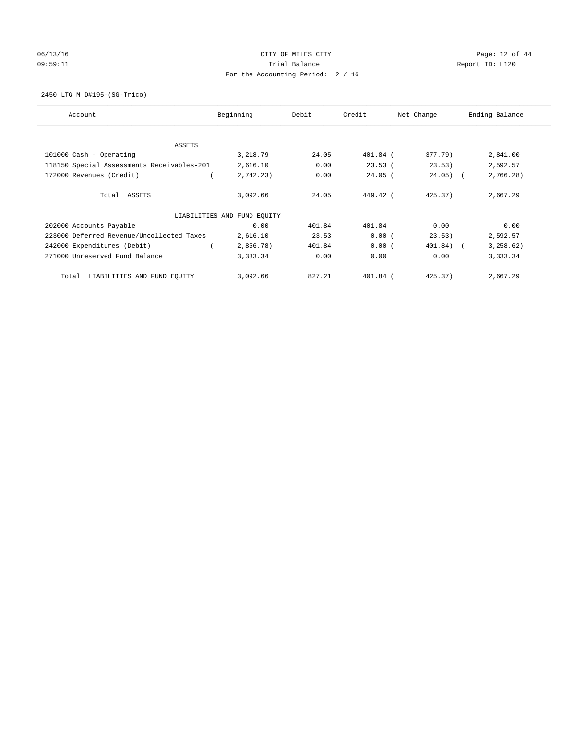# 06/13/16 Page: 12 of 44 09:59:11 **Trial Balance Constanting Trial Balance Report ID:** L120 For the Accounting Period: 2 / 16

2450 LTG M D#195-(SG-Trico)

| Account                                    | Beginning                   | Debit  | Credit     | Net Change | Ending Balance |
|--------------------------------------------|-----------------------------|--------|------------|------------|----------------|
| ASSETS                                     |                             |        |            |            |                |
| 101000 Cash - Operating                    | 3,218.79                    | 24.05  | 401.84 (   | 377.79)    | 2,841.00       |
| 118150 Special Assessments Receivables-201 | 2,616.10                    | 0.00   | 23.53(     | 23.53)     | 2,592.57       |
| 172000 Revenues (Credit)                   | 2,742.23)                   | 0.00   | $24.05$ (  | $24.05)$ ( | 2,766.28)      |
| Total ASSETS                               | 3,092.66                    | 24.05  | 449.42 (   | 425.37     | 2,667.29       |
|                                            | LIABILITIES AND FUND EQUITY |        |            |            |                |
| 202000 Accounts Payable                    | 0.00                        | 401.84 | 401.84     | 0.00       | 0.00           |
| 223000 Deferred Revenue/Uncollected Taxes  | 2,616.10                    | 23.53  | 0.00(      | 23.53)     | 2,592.57       |
| 242000 Expenditures (Debit)                | 2,856.78)                   | 401.84 | 0.00(      | 401.84) (  | 3, 258.62)     |
| 271000 Unreserved Fund Balance             | 3,333.34                    | 0.00   | 0.00       | 0.00       | 3,333.34       |
| LIABILITIES AND FUND EQUITY<br>Total       | 3,092.66                    | 827.21 | $401.84$ ( | 425.37     | 2,667.29       |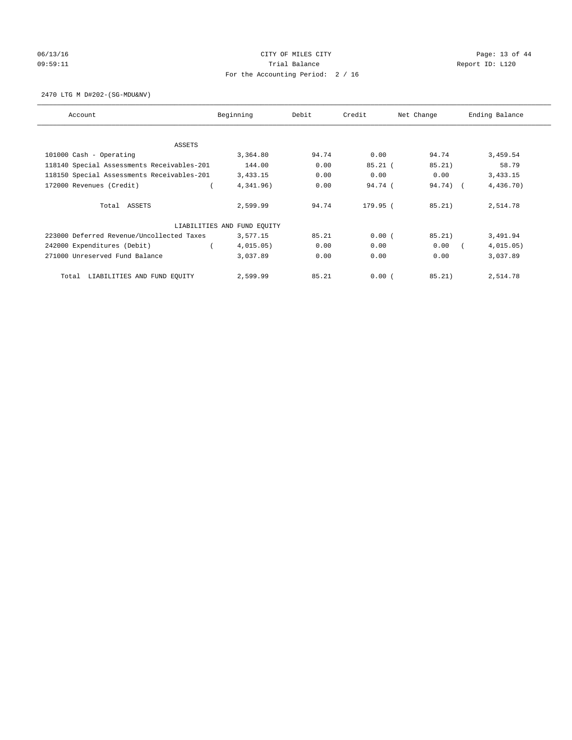# 06/13/16 Page: 13 of 44 09:59:11 **Trial Balance Constanting Trial Balance Report ID:** L120 For the Accounting Period: 2 / 16

2470 LTG M D#202-(SG-MDU&NV)

| Account                                    | Beginning                   | Debit | Credit    | Net Change | Ending Balance |
|--------------------------------------------|-----------------------------|-------|-----------|------------|----------------|
| ASSETS                                     |                             |       |           |            |                |
| 101000 Cash - Operating                    | 3,364.80                    | 94.74 | 0.00      | 94.74      | 3,459.54       |
| 118140 Special Assessments Receivables-201 | 144.00                      | 0.00  | $85.21$ ( | 85.21)     | 58.79          |
| 118150 Special Assessments Receivables-201 | 3,433.15                    | 0.00  | 0.00      | 0.00       | 3,433.15       |
| 172000 Revenues (Credit)                   | 4,341.96)                   | 0.00  | 94.74(    | 94.74) (   | 4,436.70)      |
| Total ASSETS                               | 2,599.99                    | 94.74 | 179.95 (  | 85.21)     | 2,514.78       |
|                                            | LIABILITIES AND FUND EQUITY |       |           |            |                |
| 223000 Deferred Revenue/Uncollected Taxes  | 3,577.15                    | 85.21 | 0.00(     | 85.21)     | 3,491.94       |
| 242000 Expenditures (Debit)                | 4,015.05)                   | 0.00  | 0.00      | 0.00       | 4,015.05)      |
| 271000 Unreserved Fund Balance             | 3,037.89                    | 0.00  | 0.00      | 0.00       | 3,037.89       |
| LIABILITIES AND FUND EQUITY<br>Total       | 2,599.99                    | 85.21 | 0.00(     | 85.21)     | 2,514.78       |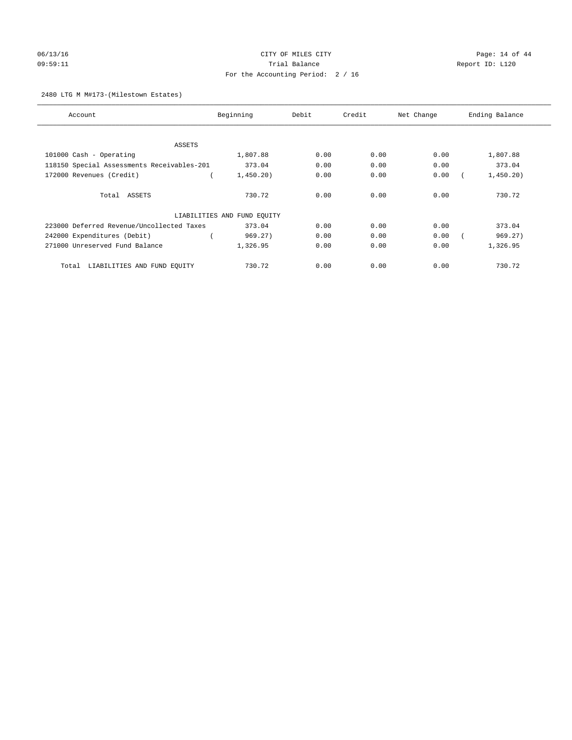# 06/13/16 Page: 14 of 44 09:59:11 **Trial Balance Constanting Trial Balance Report ID:** L120 For the Accounting Period: 2 / 16

## 2480 LTG M M#173-(Milestown Estates)

| Account                                    | Beginning                   | Debit | Credit | Net Change | Ending Balance |
|--------------------------------------------|-----------------------------|-------|--------|------------|----------------|
|                                            |                             |       |        |            |                |
| ASSETS                                     |                             |       |        |            |                |
| 101000 Cash - Operating                    | 1,807.88                    | 0.00  | 0.00   | 0.00       | 1,807.88       |
| 118150 Special Assessments Receivables-201 | 373.04                      | 0.00  | 0.00   | 0.00       | 373.04         |
| 172000 Revenues (Credit)                   | 1,450.20)                   | 0.00  | 0.00   | 0.00       | 1,450.20)      |
| Total ASSETS                               | 730.72                      | 0.00  | 0.00   | 0.00       | 730.72         |
|                                            | LIABILITIES AND FUND EQUITY |       |        |            |                |
| 223000 Deferred Revenue/Uncollected Taxes  | 373.04                      | 0.00  | 0.00   | 0.00       | 373.04         |
| 242000 Expenditures (Debit)                | 969.27)                     | 0.00  | 0.00   | 0.00       | 969.27)        |
| 271000 Unreserved Fund Balance             | 1,326.95                    | 0.00  | 0.00   | 0.00       | 1,326.95       |
| LIABILITIES AND FUND EQUITY<br>Total       | 730.72                      | 0.00  | 0.00   | 0.00       | 730.72         |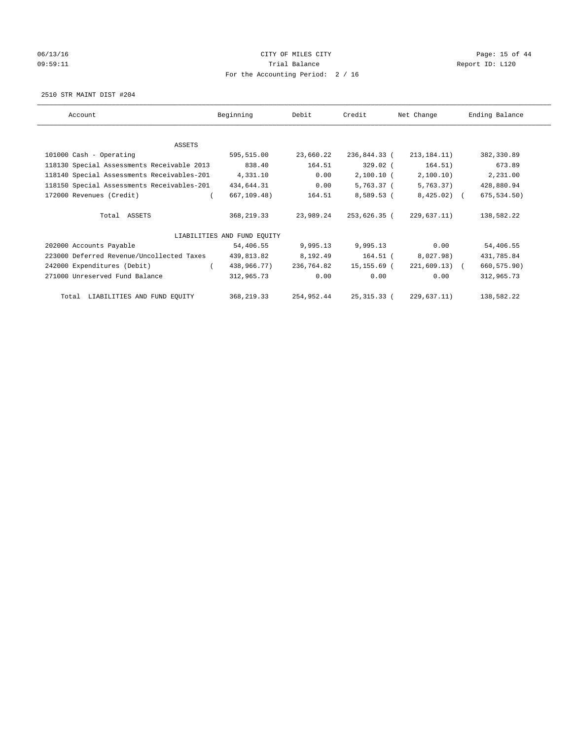# 06/13/16 Page: 15 of 44 09:59:11 **Trial Balance Constanting Trial Balance Report ID:** L120 For the Accounting Period: 2 / 16

2510 STR MAINT DIST #204

| Account                                    | Beginning                   | Debit      | Credit       | Net Change     | Ending Balance |
|--------------------------------------------|-----------------------------|------------|--------------|----------------|----------------|
|                                            |                             |            |              |                |                |
| ASSETS                                     |                             |            |              |                |                |
| 101000 Cash - Operating                    | 595,515.00                  | 23,660.22  | 236,844.33 ( | 213, 184.11)   | 382,330.89     |
| 118130 Special Assessments Receivable 2013 | 838.40                      | 164.51     | 329.02 (     | 164.51)        | 673.89         |
| 118140 Special Assessments Receivables-201 | 4,331.10                    | 0.00       | 2,100.10 (   | 2,100.10)      | 2,231.00       |
| 118150 Special Assessments Receivables-201 | 434,644.31                  | 0.00       | 5,763.37 (   | 5,763.37)      | 428,880.94     |
| 172000 Revenues (Credit)                   | 667,109.48)                 | 164.51     | 8,589.53 (   | $8,425.02$ (   | 675, 534.50)   |
| Total ASSETS                               | 368,219.33                  | 23,989.24  | 253,626.35 ( | 229,637.11)    | 138,582.22     |
|                                            | LIABILITIES AND FUND EOUITY |            |              |                |                |
| 202000 Accounts Payable                    | 54,406.55                   | 9,995.13   | 9,995.13     | 0.00           | 54,406.55      |
| 223000 Deferred Revenue/Uncollected Taxes  | 439,813.82                  | 8,192.49   | 164.51 (     | 8,027.98)      | 431,785.84     |
| 242000 Expenditures (Debit)                | 438,966.77)                 | 236,764.82 | 15,155.69 (  | $221,609.13$ ( | 660, 575.90)   |
| 271000 Unreserved Fund Balance             | 312,965.73                  | 0.00       | 0.00         | 0.00           | 312,965.73     |
| Total LIABILITIES AND FUND EQUITY          | 368,219.33                  | 254,952.44 | 25,315.33 (  | 229,637.11)    | 138,582.22     |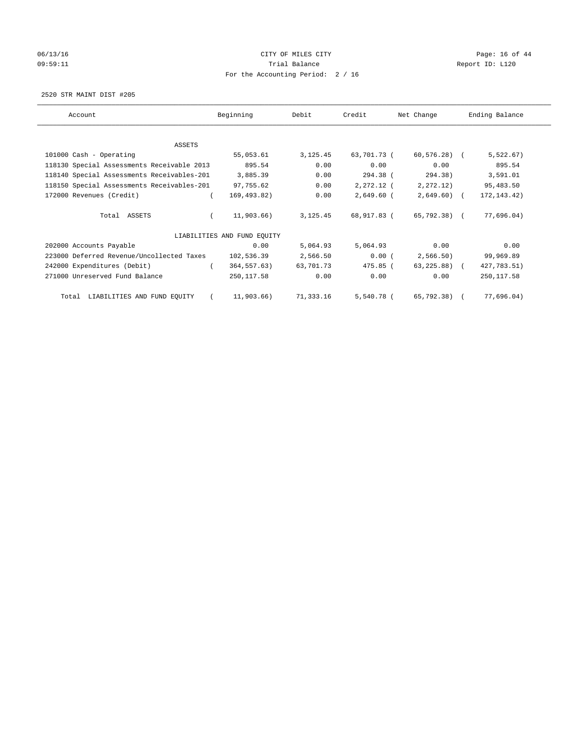# 06/13/16 Page: 16 of 44 09:59:11 **Trial Balance Constanting Trial Balance Report ID:** L120 For the Accounting Period: 2 / 16

2520 STR MAINT DIST #205

| Account                                    | Beginning                   | Debit     | Credit       | Net Change     | Ending Balance |
|--------------------------------------------|-----------------------------|-----------|--------------|----------------|----------------|
| ASSETS                                     |                             |           |              |                |                |
| 101000 Cash - Operating                    | 55,053.61                   | 3,125.45  | 63,701.73 (  | 60,576.28) (   | 5,522.67)      |
| 118130 Special Assessments Receivable 2013 | 895.54                      | 0.00      | 0.00         | 0.00           | 895.54         |
| 118140 Special Assessments Receivables-201 | 3,885.39                    | 0.00      | 294.38 (     | 294.38)        | 3,591.01       |
| 118150 Special Assessments Receivables-201 | 97,755.62                   | 0.00      | 2,272.12 (   | 2, 272.12)     | 95,483.50      |
| 172000 Revenues (Credit)                   | 169,493.82)                 | 0.00      | $2,649.60$ ( | $2,649.60$ (   | 172, 143. 42)  |
| Total ASSETS                               | 11,903.66)                  | 3, 125.45 | 68,917.83 (  | 65,792.38) (   | 77,696.04)     |
|                                            | LIABILITIES AND FUND EQUITY |           |              |                |                |
| 202000 Accounts Payable                    | 0.00                        | 5,064.93  | 5,064.93     | 0.00           | 0.00           |
| 223000 Deferred Revenue/Uncollected Taxes  | 102,536.39                  | 2,566.50  | 0.00(        | 2,566.50)      | 99,969.89      |
| 242000 Expenditures (Debit)                | 364,557.63)                 | 63,701.73 | 475.85 (     | $63, 225.88$ ( | 427,783.51)    |
| 271000 Unreserved Fund Balance             | 250,117.58                  | 0.00      | 0.00         | 0.00           | 250, 117.58    |
| LIABILITIES AND FUND EQUITY<br>Total       | 11,903.66)                  | 71,333.16 | 5,540.78 (   | 65,792.38) (   | 77,696.04)     |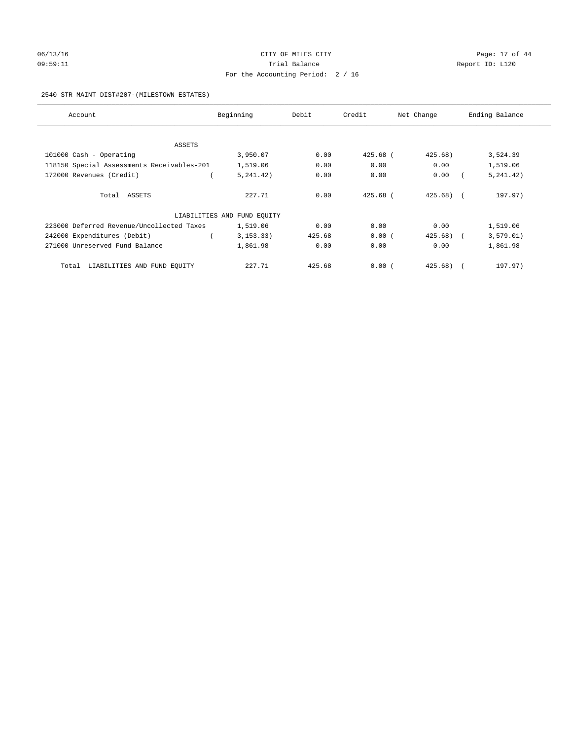# 06/13/16 Page: 17 of 44 09:59:11 **Trial Balance Constanting Trial Balance Report ID:** L120 For the Accounting Period: 2 / 16

## 2540 STR MAINT DIST#207-(MILESTOWN ESTATES)

| Account                                    | Beginning                   | Debit  | Credit   | Net Change | Ending Balance |
|--------------------------------------------|-----------------------------|--------|----------|------------|----------------|
|                                            |                             |        |          |            |                |
| ASSETS                                     | 3,950.07                    | 0.00   | 425.68 ( | 425.68)    |                |
| 101000 Cash - Operating                    |                             |        |          |            | 3,524.39       |
| 118150 Special Assessments Receivables-201 | 1,519.06                    | 0.00   | 0.00     | 0.00       | 1,519.06       |
| 172000 Revenues (Credit)                   | 5, 241, 42)                 | 0.00   | 0.00     | 0.00       | 5, 241.42)     |
|                                            |                             |        |          |            |                |
| Total ASSETS                               | 227.71                      | 0.00   | 425.68 ( | $425.68$ ( | 197.97)        |
|                                            | LIABILITIES AND FUND EQUITY |        |          |            |                |
| 223000 Deferred Revenue/Uncollected Taxes  | 1,519.06                    | 0.00   | 0.00     | 0.00       | 1,519.06       |
| 242000 Expenditures (Debit)                | 3, 153, 33)                 | 425.68 | 0.00(    | $425.68$ ( | 3, 579.01)     |
| 271000 Unreserved Fund Balance             | 1,861.98                    | 0.00   | 0.00     | 0.00       | 1,861.98       |
| LIABILITIES AND FUND EQUITY<br>Total       | 227.71                      | 425.68 | 0.00(    | 425.68)    | 197.97)        |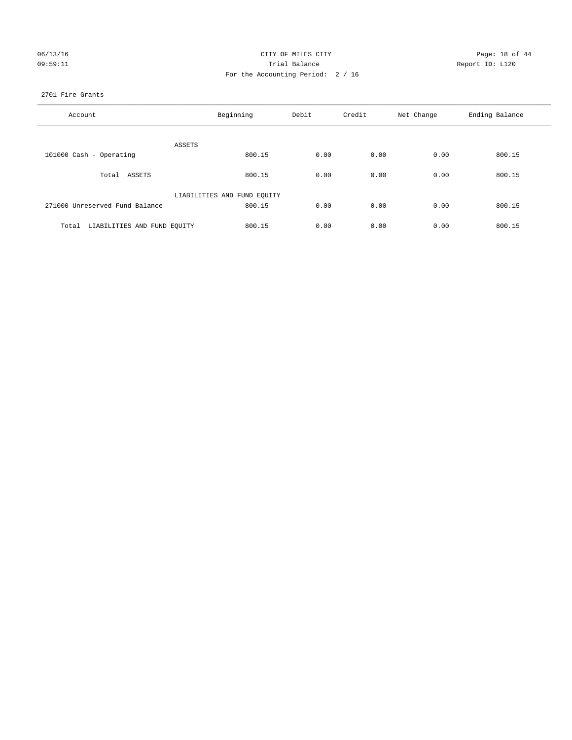| 06/13/16 |  |
|----------|--|
| 09:59:11 |  |

## CITY OF MILES CITY CONTROL CONTROL CITY CONTROL PAGE: 18 of 44 Prial Balance **Report ID:** L120 For the Accounting Period: 2 / 16

## 2701 Fire Grants

| Account                              | Beginning                   | Debit | Credit | Net Change | Ending Balance |
|--------------------------------------|-----------------------------|-------|--------|------------|----------------|
| ASSETS                               |                             |       |        |            |                |
| 101000 Cash - Operating              | 800.15                      | 0.00  | 0.00   | 0.00       | 800.15         |
| Total ASSETS                         | 800.15                      | 0.00  | 0.00   | 0.00       | 800.15         |
|                                      | LIABILITIES AND FUND EQUITY |       |        |            |                |
| 271000 Unreserved Fund Balance       | 800.15                      | 0.00  | 0.00   | 0.00       | 800.15         |
| LIABILITIES AND FUND EQUITY<br>Total | 800.15                      | 0.00  | 0.00   | 0.00       | 800.15         |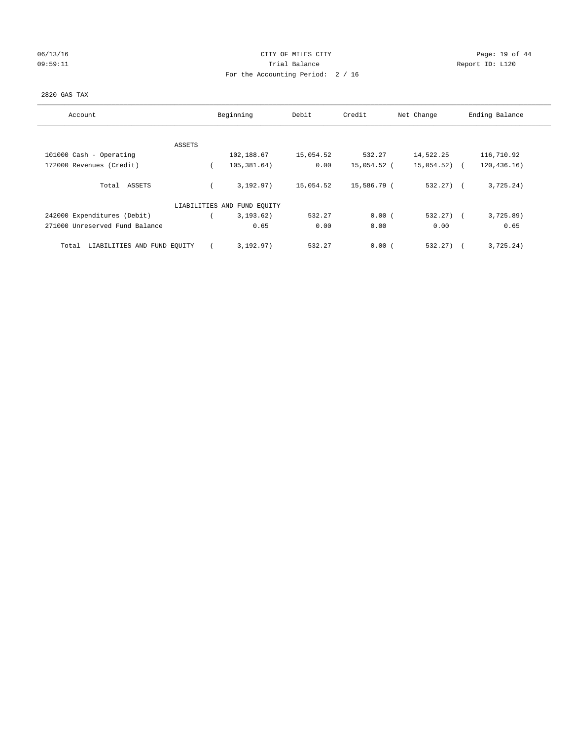## 06/13/16 Page: 19 of 44 09:59:11 **Trial Balance Constanting Trial Balance Report ID:** L120 For the Accounting Period: 2 / 16

## 2820 GAS TAX

| Account                              |        | Beginning                   | Debit     | Credit      | Net Change   | Ending Balance |
|--------------------------------------|--------|-----------------------------|-----------|-------------|--------------|----------------|
|                                      |        |                             |           |             |              |                |
| 101000 Cash - Operating              | ASSETS | 102,188.67                  | 15,054.52 | 532.27      | 14,522.25    | 116,710.92     |
| 172000 Revenues (Credit)             |        | 105,381.64)                 | 0.00      | 15,054.52 ( | 15,054.52)   | 120, 436.16)   |
| Total ASSETS                         |        | 3.192.97)                   | 15,054.52 | 15,586.79 ( | $532.27$ (   | 3,725.24)      |
|                                      |        | LIABILITIES AND FUND EQUITY |           |             |              |                |
| 242000 Expenditures (Debit)          |        | 3, 193.62)                  | 532.27    | 0.00(       | $532.27$ ) ( | 3,725.89       |
| 271000 Unreserved Fund Balance       |        | 0.65                        | 0.00      | 0.00        | 0.00         | 0.65           |
| LIABILITIES AND FUND EQUITY<br>Total |        | 3, 192, 97)                 | 532.27    | 0.00(       | 532.27)      | 3,725.24)      |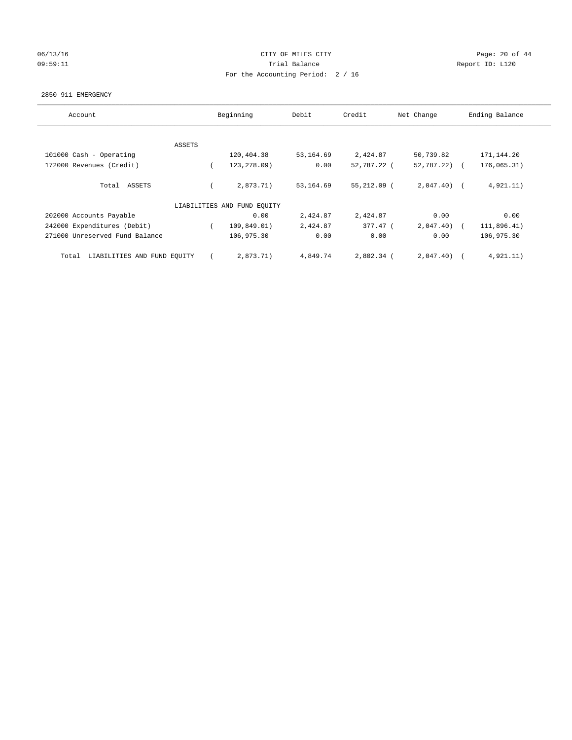## 06/13/16 Page: 20 of 44 09:59:11 **Trial Balance Constanting Trial Balance Report ID:** L120 For the Accounting Period: 2 / 16

#### 2850 911 EMERGENCY

| Account                              | Beginning |                             | Debit     | Credit<br>Net Change |                | Ending Balance |
|--------------------------------------|-----------|-----------------------------|-----------|----------------------|----------------|----------------|
|                                      |           |                             |           |                      |                |                |
|                                      | ASSETS    |                             |           |                      |                |                |
| 101000 Cash - Operating              |           | 120,404.38                  | 53,164.69 | 2,424.87             | 50,739.82      | 171,144.20     |
| 172000 Revenues (Credit)             |           | 123,278.09)                 | 0.00      | 52,787.22 (          | $52,787,22)$ ( | 176,065.31)    |
| Total ASSETS                         |           | 2,873.71)                   | 53,164.69 | 55,212.09 (          | $2,047.40$ (   | 4,921.11)      |
|                                      |           | LIABILITIES AND FUND EQUITY |           |                      |                |                |
| 202000 Accounts Payable              |           | 0.00                        | 2,424.87  | 2,424.87             | 0.00           | 0.00           |
| 242000 Expenditures (Debit)          |           | 109,849.01)                 | 2,424.87  | 377.47 (             | 2,047.40)      | 111,896.41)    |
| 271000 Unreserved Fund Balance       |           | 106,975.30                  | 0.00      | 0.00                 | 0.00           | 106,975.30     |
| LIABILITIES AND FUND EQUITY<br>Total |           | 2,873.71)                   | 4,849.74  | 2,802.34 (           | 2,047.40)      | 4,921.11)      |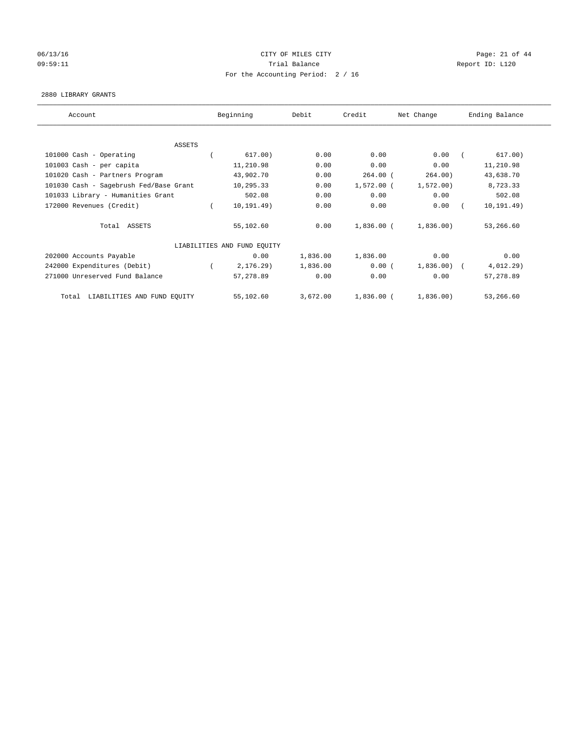## 06/13/16 Page: 21 of 44 09:59:11 **Trial Balance Constanting Trial Balance Report ID:** L120 For the Accounting Period: 2 / 16

#### 2880 LIBRARY GRANTS

| Account                                | Beginning                   | Debit    | Credit       | Net Change   | Ending Balance |
|----------------------------------------|-----------------------------|----------|--------------|--------------|----------------|
|                                        |                             |          |              |              |                |
| <b>ASSETS</b>                          |                             |          |              |              |                |
| 101000 Cash - Operating                | 617.00)                     | 0.00     | 0.00         | 0.00         | 617.00)        |
| 101003 Cash - per capita               | 11,210.98                   | 0.00     | 0.00         | 0.00         | 11,210.98      |
| 101020 Cash - Partners Program         | 43,902.70                   | 0.00     | $264.00$ (   | 264.00)      | 43,638.70      |
| 101030 Cash - Sagebrush Fed/Base Grant | 10,295.33                   | 0.00     | $1,572.00$ ( | 1,572.00)    | 8,723.33       |
| 101033 Library - Humanities Grant      | 502.08                      | 0.00     | 0.00         | 0.00         | 502.08         |
| 172000 Revenues (Credit)               | 10, 191.49)                 | 0.00     | 0.00         | 0.00         | 10, 191.49)    |
| Total ASSETS                           | 55,102.60                   | 0.00     | 1,836.00 (   | 1,836.00     | 53,266.60      |
|                                        | LIABILITIES AND FUND EQUITY |          |              |              |                |
| 202000 Accounts Payable                | 0.00                        | 1,836.00 | 1,836.00     | 0.00         | 0.00           |
| 242000 Expenditures (Debit)            | 2, 176.29                   | 1,836.00 | 0.00(        | $1,836.00$ ( | 4,012.29)      |
| 271000 Unreserved Fund Balance         | 57,278.89                   | 0.00     | 0.00         | 0.00         | 57,278.89      |
| LIABILITIES AND FUND EQUITY<br>Total   | 55,102.60                   | 3,672.00 | $1,836.00$ ( | 1,836.00)    | 53,266.60      |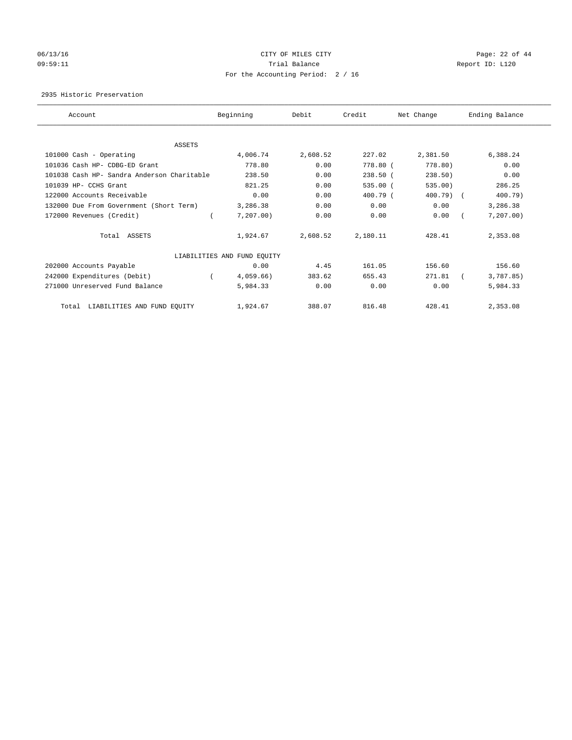## 06/13/16 Page: 22 of 44 09:59:11 **Trial Balance Constanting Trial Balance Report ID:** L120 For the Accounting Period: 2 / 16

2935 Historic Preservation

| Account                                    | Beginning                   | Debit    | Credit     | Net Change | Ending Balance |
|--------------------------------------------|-----------------------------|----------|------------|------------|----------------|
|                                            |                             |          |            |            |                |
| ASSETS                                     |                             |          |            |            |                |
| 101000 Cash - Operating                    | 4,006.74                    | 2,608.52 | 227.02     | 2,381.50   | 6,388.24       |
| 101036 Cash HP- CDBG-ED Grant              | 778.80                      | 0.00     | 778.80 (   | 778.80)    | 0.00           |
| 101038 Cash HP- Sandra Anderson Charitable | 238.50                      | 0.00     | $238.50$ ( | 238.50     | 0.00           |
| 101039 HP- CCHS Grant                      | 821.25                      | 0.00     | $535.00$ ( | 535.00)    | 286.25         |
| 122000 Accounts Receivable                 | 0.00                        | 0.00     | 400.79 (   | 400.79) (  | 400.79)        |
| 132000 Due From Government (Short Term)    | 3,286.38                    | 0.00     | 0.00       | 0.00       | 3,286.38       |
| 172000 Revenues (Credit)                   | 7, 207.00)                  | 0.00     | 0.00       | 0.00       | 7, 207.00      |
| Total ASSETS                               | 1,924.67                    | 2,608.52 | 2,180.11   | 428.41     | 2,353.08       |
|                                            | LIABILITIES AND FUND EQUITY |          |            |            |                |
| 202000 Accounts Payable                    | 0.00                        | 4.45     | 161.05     | 156.60     | 156.60         |
| 242000 Expenditures (Debit)                | 4,059.66)                   | 383.62   | 655.43     | 271.81     | 3,787.85)      |
| 271000 Unreserved Fund Balance             | 5,984.33                    | 0.00     | 0.00       | 0.00       | 5,984.33       |
| LIABILITIES AND FUND EQUITY<br>Total       | 1,924.67                    | 388.07   | 816.48     | 428.41     | 2,353.08       |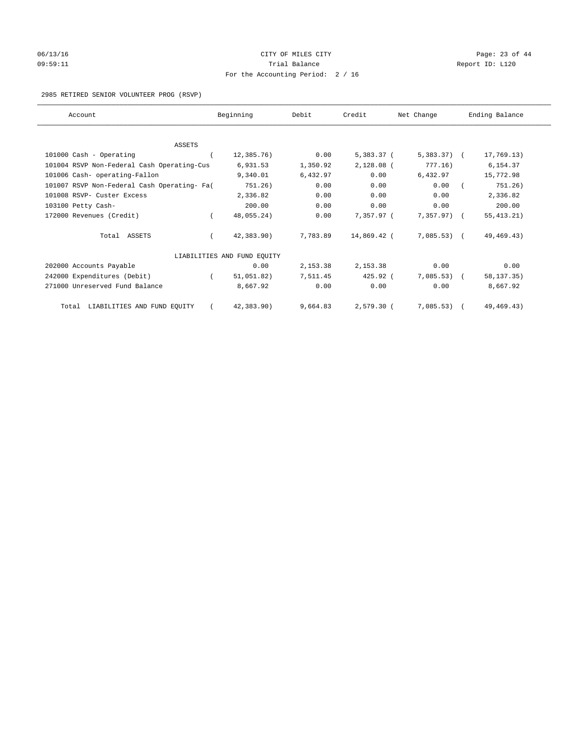# 06/13/16 Page: 23 of 44 09:59:11 **Trial Balance Constanting Trial Balance Report ID:** L120 For the Accounting Period: 2 / 16

## 2985 RETIRED SENIOR VOLUNTEER PROG (RSVP)

| Account                                     |          | Beginning                   | Debit    | Credit       | Net Change    | Ending Balance |
|---------------------------------------------|----------|-----------------------------|----------|--------------|---------------|----------------|
|                                             |          |                             |          |              |               |                |
| <b>ASSETS</b>                               |          |                             |          |              |               |                |
| 101000 Cash - Operating                     |          | 12,385.76)                  | 0.00     | 5,383.37 (   | $5,383.37$ (  | 17,769.13)     |
| 101004 RSVP Non-Federal Cash Operating-Cus  |          | 6,931.53                    | 1,350.92 | $2,128.08$ ( | 777.16)       | 6,154.37       |
| 101006 Cash- operating-Fallon               |          | 9,340.01                    | 6,432.97 | 0.00         | 6,432.97      | 15,772.98      |
| 101007 RSVP Non-Federal Cash Operating- Fa( |          | 751.26)                     | 0.00     | 0.00         | 0.00          | 751.26)        |
| 101008 RSVP- Custer Excess                  |          | 2,336.82                    | 0.00     | 0.00         | 0.00          | 2,336.82       |
| 103100 Petty Cash-                          |          | 200.00                      | 0.00     | 0.00         | 0.00          | 200.00         |
| 172000 Revenues (Credit)                    | $\left($ | 48,055.24)                  | 0.00     | 7,357.97 (   | $7,357.97)$ ( | 55, 413.21)    |
| Total ASSETS                                |          | 42,383.90)                  | 7,783.89 | 14,869.42 (  | $7,085.53$ (  | 49, 469. 43)   |
|                                             |          | LIABILITIES AND FUND EQUITY |          |              |               |                |
| 202000 Accounts Payable                     |          | 0.00                        | 2,153.38 | 2,153.38     | 0.00          | 0.00           |
| 242000 Expenditures (Debit)                 |          | 51,051.82)                  | 7,511.45 | $425.92$ (   | $7,085.53$ (  | 58, 137. 35)   |
| 271000 Unreserved Fund Balance              |          | 8,667.92                    | 0.00     | 0.00         | 0.00          | 8,667.92       |
| Total LIABILITIES AND FUND EQUITY           |          | 42,383.90)                  | 9,664.83 | $2,579.30$ ( | 7,085.53)     | 49, 469. 43)   |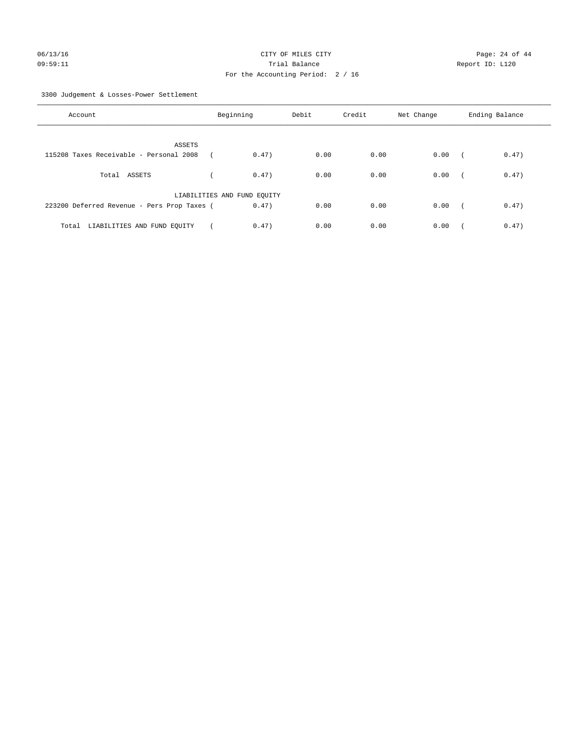3300 Judgement & Losses-Power Settlement

| Account                                     | Beginning                   |       | Debit | Credit | Net Change | Ending Balance |       |
|---------------------------------------------|-----------------------------|-------|-------|--------|------------|----------------|-------|
| ASSETS                                      |                             |       |       |        |            |                |       |
| 115208 Taxes Receivable - Personal 2008     |                             | 0.47) | 0.00  | 0.00   | 0.00       | $\sqrt{2}$     | 0.47) |
| Total ASSETS                                |                             | 0.47) | 0.00  | 0.00   | 0.00       | $\sqrt{2}$     | 0.47) |
|                                             | LIABILITIES AND FUND EQUITY |       |       |        |            |                |       |
| 223200 Deferred Revenue - Pers Prop Taxes ( |                             | 0.47) | 0.00  | 0.00   | 0.00       | $\sim$         | 0.47) |
| LIABILITIES AND FUND EQUITY<br>Total        |                             | 0.47) | 0.00  | 0.00   | 0.00       |                | 0.47) |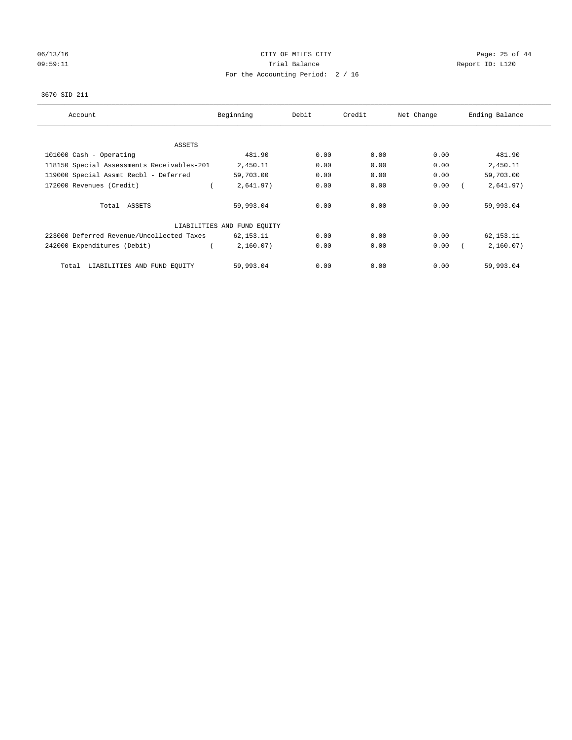# 06/13/16 Page: 25 of 44 09:59:11 **Trial Balance Constanting Trial Balance Report ID:** L120 For the Accounting Period: 2 / 16

## 3670 SID 211

| Account                                    | Beginning                   | Debit | Credit | Net Change | Ending Balance |
|--------------------------------------------|-----------------------------|-------|--------|------------|----------------|
|                                            |                             |       |        |            |                |
| ASSETS                                     |                             |       |        |            |                |
| 101000 Cash - Operating                    | 481.90                      | 0.00  | 0.00   | 0.00       | 481.90         |
| 118150 Special Assessments Receivables-201 | 2,450.11                    | 0.00  | 0.00   | 0.00       | 2,450.11       |
| 119000 Special Assmt Recbl - Deferred      | 59,703.00                   | 0.00  | 0.00   | 0.00       | 59,703.00      |
| 172000 Revenues (Credit)                   | 2,641.97)                   | 0.00  | 0.00   | 0.00       | 2,641.97)      |
| Total ASSETS                               | 59,993.04                   | 0.00  | 0.00   | 0.00       | 59,993.04      |
|                                            | LIABILITIES AND FUND EQUITY |       |        |            |                |
| 223000 Deferred Revenue/Uncollected Taxes  | 62,153.11                   | 0.00  | 0.00   | 0.00       | 62,153.11      |
| 242000 Expenditures (Debit)                | 2,160.07)                   | 0.00  | 0.00   | 0.00       | 2,160.07)      |
| LIABILITIES AND FUND EQUITY<br>Total       | 59,993.04                   | 0.00  | 0.00   | 0.00       | 59,993.04      |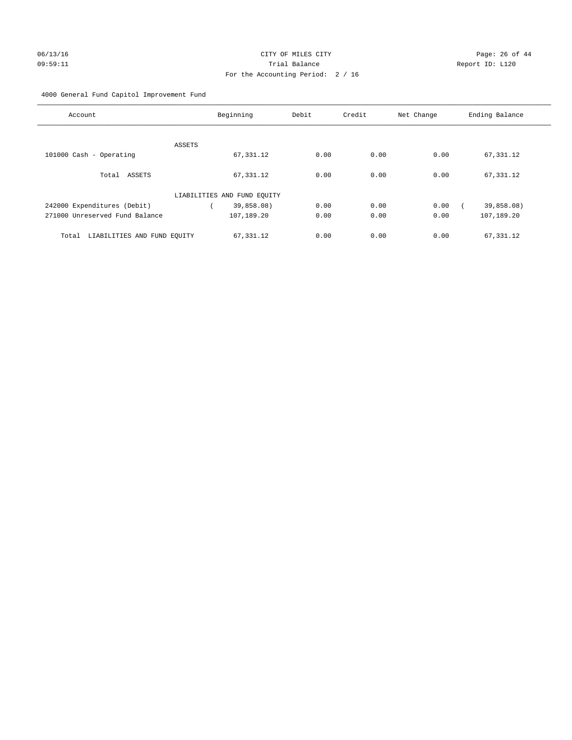## 4000 General Fund Capitol Improvement Fund

| Account                              |        | Beginning                   | Debit | Credit | Net Change | Ending Balance |
|--------------------------------------|--------|-----------------------------|-------|--------|------------|----------------|
|                                      |        |                             |       |        |            |                |
|                                      | ASSETS |                             |       |        |            |                |
| 101000 Cash - Operating              |        | 67,331.12                   | 0.00  | 0.00   | 0.00       | 67,331.12      |
|                                      |        |                             |       |        |            |                |
| Total ASSETS                         |        | 67,331.12                   | 0.00  | 0.00   | 0.00       | 67,331.12      |
|                                      |        |                             |       |        |            |                |
|                                      |        | LIABILITIES AND FUND EQUITY |       |        |            |                |
| 242000 Expenditures (Debit)          |        | 39,858.08)                  | 0.00  | 0.00   | 0.00       | 39,858.08)     |
| 271000 Unreserved Fund Balance       |        | 107,189.20                  | 0.00  | 0.00   | 0.00       | 107,189.20     |
|                                      |        |                             |       |        |            |                |
| LIABILITIES AND FUND EQUITY<br>Total |        | 67,331.12                   | 0.00  | 0.00   | 0.00       | 67,331.12      |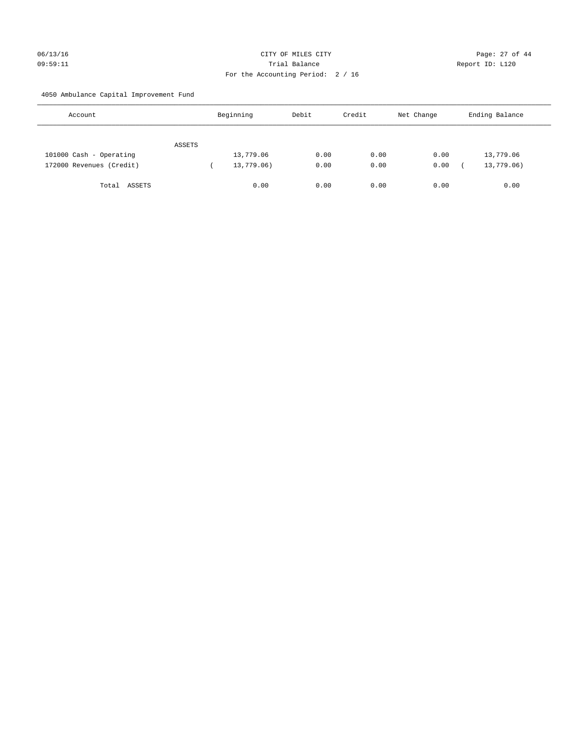## 06/13/16 Page: 27 of 44 09:59:11 Trial Balance Report ID: L120 For the Accounting Period: 2 / 16

4050 Ambulance Capital Improvement Fund

| Account                  |        | Beginning  | Debit | Credit | Net Change | Ending Balance |
|--------------------------|--------|------------|-------|--------|------------|----------------|
|                          | ASSETS |            |       |        |            |                |
| 101000 Cash - Operating  |        | 13,779.06  | 0.00  | 0.00   | 0.00       | 13,779.06      |
| 172000 Revenues (Credit) |        | 13,779.06) | 0.00  | 0.00   | 0.00       | 13,779.06)     |
| ASSETS<br>Total          |        | 0.00       | 0.00  | 0.00   | 0.00       | 0.00           |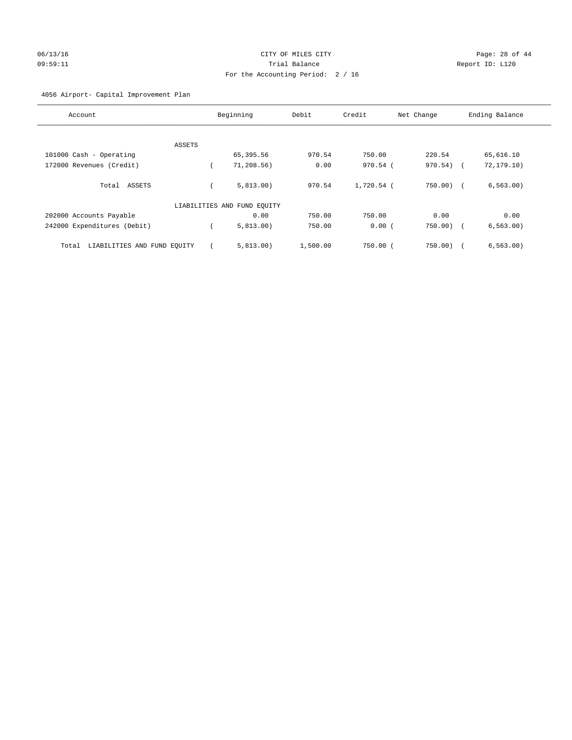# 06/13/16 Page: 28 of 44 09:59:11 Trial Balance Report ID: L120 For the Accounting Period: 2 / 16

## 4056 Airport- Capital Improvement Plan

| Account                              | Beginning                   | Debit    | Credit       | Net Change   | Ending Balance |
|--------------------------------------|-----------------------------|----------|--------------|--------------|----------------|
|                                      |                             |          |              |              |                |
|                                      |                             |          |              |              |                |
| ASSETS                               |                             |          |              |              |                |
| 101000 Cash - Operating              | 65,395.56                   | 970.54   | 750.00       | 220.54       | 65,616.10      |
| 172000 Revenues (Credit)             | 71,208.56)                  | 0.00     | 970.54 (     | 970.54)      | 72, 179.10)    |
|                                      |                             |          |              |              |                |
| Total ASSETS                         | 5.813.00                    | 970.54   | $1,720.54$ ( | $750.00$ ) ( | 6, 563.00)     |
|                                      | LIABILITIES AND FUND EQUITY |          |              |              |                |
| 202000 Accounts Payable              | 0.00                        | 750.00   | 750.00       | 0.00         | 0.00           |
| 242000 Expenditures (Debit)          | 5,813.00)                   | 750.00   | 0.00(        | 750.00)      | 6, 563.00)     |
| LIABILITIES AND FUND EQUITY<br>Total | 5.813.00                    | 1,500.00 | $750.00$ $($ | 750.00)      | 6, 563.00      |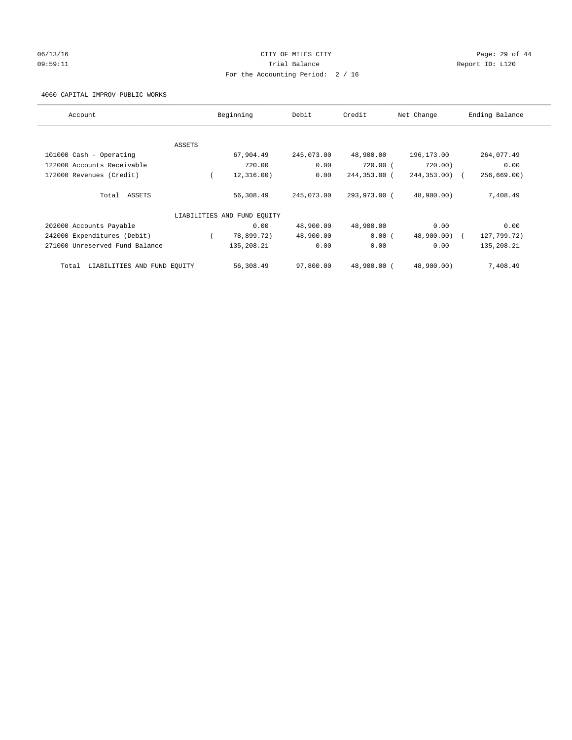## 06/13/16 Page: 29 of 44 09:59:11 **Trial Balance Constanting Trial Balance Report ID:** L120 For the Accounting Period: 2 / 16

4060 CAPITAL IMPROV-PUBLIC WORKS

| Account                              |          | Beginning                   | Debit      | Credit       | Net Change       | Ending Balance |
|--------------------------------------|----------|-----------------------------|------------|--------------|------------------|----------------|
|                                      |          |                             |            |              |                  |                |
|                                      | ASSETS   |                             |            |              |                  |                |
| 101000 Cash - Operating              |          | 67,904.49                   | 245,073.00 | 48,900.00    | 196,173.00       | 264,077.49     |
| 122000 Accounts Receivable           |          | 720.00                      | 0.00       | 720.00 (     | 720.00)          | 0.00           |
| 172000 Revenues (Credit)             | $\left($ | 12, 316, 00)                | 0.00       | 244,353.00 ( | $244, 353, 00$ ( | 256,669.00     |
| Total ASSETS                         |          | 56,308.49                   | 245,073.00 | 293,973.00 ( | 48,900.00)       | 7,408.49       |
|                                      |          | LIABILITIES AND FUND EQUITY |            |              |                  |                |
| 202000 Accounts Payable              |          | 0.00                        | 48,900.00  | 48,900.00    | 0.00             | 0.00           |
| 242000 Expenditures (Debit)          |          | 78,899.72)                  | 48,900.00  | 0.00(        | 48,900.00)       | 127,799.72)    |
| 271000 Unreserved Fund Balance       |          | 135,208.21                  | 0.00       | 0.00         | 0.00             | 135,208.21     |
| LIABILITIES AND FUND EQUITY<br>Total |          | 56,308.49                   | 97,800.00  | 48,900.00 (  | 48,900.00)       | 7,408.49       |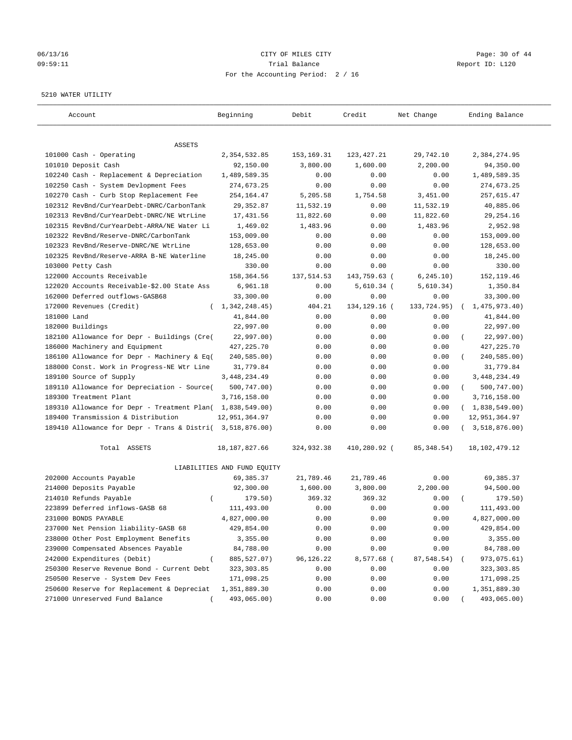## 06/13/16 Page: 30 of 44 09:59:11 Trial Balance Report ID: L120 For the Accounting Period: 2 / 16

#### 5210 WATER UTILITY

| Account                                                   | Beginning                   | Debit        | Credit       | Net Change  | Ending Balance          |
|-----------------------------------------------------------|-----------------------------|--------------|--------------|-------------|-------------------------|
|                                                           |                             |              |              |             |                         |
| ASSETS<br>101000 Cash - Operating                         | 2,354,532.85                | 153, 169. 31 | 123, 427. 21 | 29,742.10   | 2,384,274.95            |
| 101010 Deposit Cash                                       | 92,150.00                   | 3,800.00     | 1,600.00     | 2,200.00    | 94,350.00               |
| 102240 Cash - Replacement & Depreciation                  | 1,489,589.35                | 0.00         | 0.00         | 0.00        | 1,489,589.35            |
| 102250 Cash - System Devlopment Fees                      | 274,673.25                  | 0.00         | 0.00         | 0.00        | 274,673.25              |
| 102270 Cash - Curb Stop Replacement Fee                   | 254,164.47                  | 5,205.58     | 1,754.58     | 3,451.00    | 257,615.47              |
| 102312 RevBnd/CurYearDebt-DNRC/CarbonTank                 | 29, 352.87                  | 11,532.19    | 0.00         | 11,532.19   | 40,885.06               |
| 102313 RevBnd/CurYearDebt-DNRC/NE WtrLine                 | 17,431.56                   | 11,822.60    | 0.00         | 11,822.60   | 29, 254.16              |
| 102315 RevBnd/CurYearDebt-ARRA/NE Water Li                | 1,469.02                    | 1,483.96     | 0.00         | 1,483.96    | 2,952.98                |
| 102322 RevBnd/Reserve-DNRC/CarbonTank                     | 153,009.00                  | 0.00         | 0.00         | 0.00        | 153,009.00              |
| 102323 RevBnd/Reserve-DNRC/NE WtrLine                     | 128,653.00                  | 0.00         | 0.00         | 0.00        | 128,653.00              |
| 102325 RevBnd/Reserve-ARRA B-NE Waterline                 | 18,245.00                   | 0.00         | 0.00         | 0.00        | 18,245.00               |
| 103000 Petty Cash                                         | 330.00                      | 0.00         | 0.00         | 0.00        | 330.00                  |
| 122000 Accounts Receivable                                | 158,364.56                  | 137, 514.53  | 143,759.63 ( | 6, 245.10)  | 152, 119.46             |
| 122020 Accounts Receivable-\$2.00 State Ass               | 6,961.18                    | 0.00         | $5,610.34$ ( | 5,610.34)   | 1,350.84                |
| 162000 Deferred outflows-GASB68                           | 33,300.00                   | 0.00         | 0.00         | 0.00        | 33,300.00               |
| 172000 Revenues (Credit)                                  | 1,342,248.45)<br>$\sqrt{2}$ | 404.21       | 134,129.16 ( | 133,724.95) | 1,475,973.40)           |
| 181000 Land                                               | 41,844.00                   | 0.00         | 0.00         | 0.00        | 41,844.00               |
| 182000 Buildings                                          | 22,997.00                   | 0.00         | 0.00         | 0.00        | 22,997.00               |
| 182100 Allowance for Depr - Buildings (Cre(               | 22,997.00)                  | 0.00         | 0.00         | 0.00        | 22,997.00)              |
| 186000 Machinery and Equipment                            | 427, 225. 70                | 0.00         | 0.00         | 0.00        | 427, 225.70             |
| 186100 Allowance for Depr - Machinery & Eq(               | 240,585.00)                 | 0.00         | 0.00         | 0.00        | 240,585.00)             |
| 188000 Const. Work in Progress-NE Wtr Line                | 31,779.84                   | 0.00         | 0.00         | 0.00        | 31,779.84               |
| 189100 Source of Supply                                   | 3, 448, 234.49              | 0.00         | 0.00         | 0.00        | 3, 448, 234.49          |
| 189110 Allowance for Depreciation - Source(               | 500,747.00)                 | 0.00         | 0.00         | 0.00        | 500,747.00)<br>$\left($ |
| 189300 Treatment Plant                                    | 3,716,158.00                | 0.00         | 0.00         | 0.00        | 3,716,158.00            |
| 189310 Allowance for Depr - Treatment Plan( 1,838,549.00) |                             | 0.00         | 0.00         | 0.00        | (1,838,549.00)          |
| 189400 Transmission & Distribution                        | 12,951,364.97               | 0.00         | 0.00         | 0.00        | 12,951,364.97           |
| 189410 Allowance for Depr - Trans & Distri( 3,518,876.00) |                             | 0.00         | 0.00         | 0.00        | 3,518,876.00)           |
|                                                           |                             |              |              |             |                         |
| Total ASSETS                                              | 18, 187, 827.66             | 324,932.38   | 410,280.92 ( | 85, 348.54) | 18, 102, 479. 12        |
|                                                           | LIABILITIES AND FUND EQUITY |              |              |             |                         |
| 202000 Accounts Payable                                   | 69,385.37                   | 21,789.46    | 21,789.46    | 0.00        | 69,385.37               |
| 214000 Deposits Payable                                   | 92,300.00                   | 1,600.00     | 3,800.00     | 2,200.00    | 94,500.00               |
| 214010 Refunds Payable<br>$\left($                        | 179.50)                     | 369.32       | 369.32       | 0.00        | 179.50)                 |
| 223899 Deferred inflows-GASB 68                           | 111,493.00                  | 0.00         | 0.00         | 0.00        | 111,493.00              |
| 231000 BONDS PAYABLE                                      | 4,827,000.00                | 0.00         | 0.00         | 0.00        | 4,827,000.00            |
| 237000 Net Pension liability-GASB 68                      | 429,854.00                  | 0.00         | 0.00         | 0.00        | 429,854.00              |
| 238000 Other Post Employment Benefits                     | 3,355.00                    | 0.00         | 0.00         | 0.00        | 3,355.00                |
| 239000 Compensated Absences Payable                       | 84,788.00                   | 0.00         | 0.00         | 0.00        | 84,788.00               |
| 242000 Expenditures (Debit)                               | 885, 527.07)                | 96,126.22    | 8,577.68 (   | 87,548.54)  | 973,075.61)             |
| 250300 Reserve Revenue Bond - Current Debt                | 323, 303.85                 | 0.00         | 0.00         | 0.00        | 323, 303.85             |
| 250500 Reserve - System Dev Fees                          | 171,098.25                  | 0.00         | 0.00         | 0.00        | 171,098.25              |
| 250600 Reserve for Replacement & Depreciat                | 1,351,889.30                | 0.00         | 0.00         | 0.00        | 1,351,889.30            |
| 271000 Unreserved Fund Balance                            | 493,065.00)                 | 0.00         | 0.00         | 0.00        | 493,065.00)             |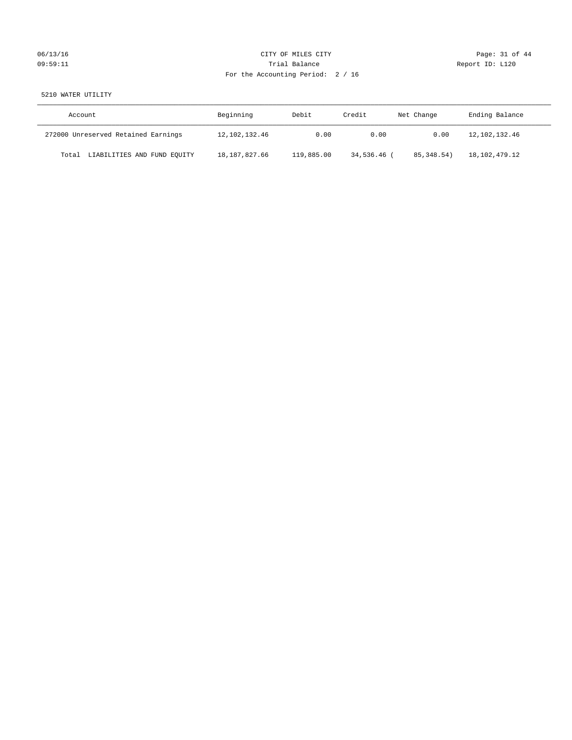# 06/13/16 Page: 31 of 44 09:59:11 **Trial Balance Constanting Trial Balance Report ID:** L120 For the Accounting Period: 2 / 16

## 5210 WATER UTILITY

| Account                              | Beginning     | Debit      | Credit    | Net Change | Ending Balance |
|--------------------------------------|---------------|------------|-----------|------------|----------------|
| 272000 Unreserved Retained Earnings  | 12,102,132.46 | 0.00       | 0.00      | 0.00       | 12,102,132.46  |
| LIABILITIES AND FUND EQUITY<br>Total | 18,187,827.66 | 119,885.00 | 34,536.46 | 85,348.54  | 18,102,479.12  |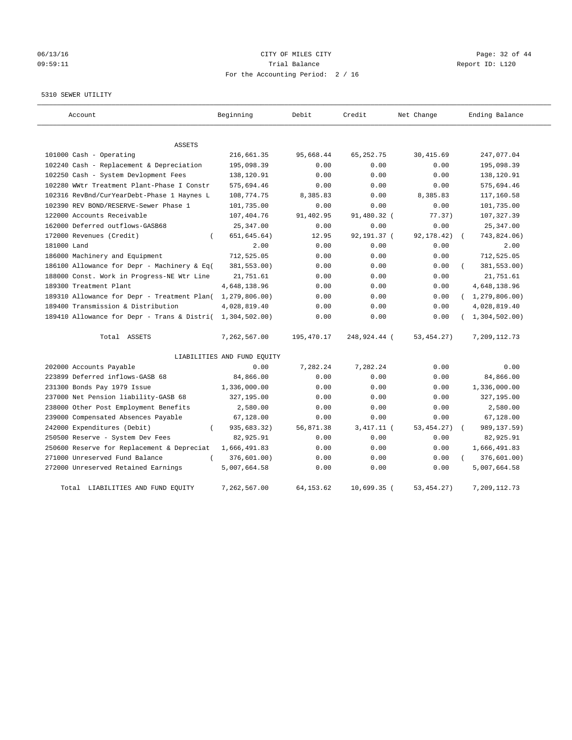## 06/13/16 Page: 32 of 44 09:59:11 Trial Balance Report ID: L120 For the Accounting Period: 2 / 16

#### 5310 SEWER UTILITY

| Account                                                   | Beginning                   | Debit       | Credit        | Net Change   | Ending Balance   |
|-----------------------------------------------------------|-----------------------------|-------------|---------------|--------------|------------------|
| <b>ASSETS</b>                                             |                             |             |               |              |                  |
| 101000 Cash - Operating                                   | 216,661.35                  | 95,668.44   | 65, 252. 75   | 30, 415.69   | 247,077.04       |
| 102240 Cash - Replacement & Depreciation                  | 195,098.39                  | 0.00        | 0.00          | 0.00         | 195,098.39       |
| 102250 Cash - System Devlopment Fees                      | 138,120.91                  | 0.00        | 0.00          | 0.00         | 138,120.91       |
| 102280 WWtr Treatment Plant-Phase I Constr                | 575,694.46                  | 0.00        | 0.00          | 0.00         | 575,694.46       |
| 102316 RevBnd/CurYearDebt-Phase 1 Haynes L                | 108,774.75                  | 8,385.83    | 0.00          | 8,385.83     | 117,160.58       |
| 102390 REV BOND/RESERVE-Sewer Phase 1                     | 101,735.00                  | 0.00        | 0.00          | 0.00         | 101,735.00       |
| 122000 Accounts Receivable                                | 107,404.76                  | 91,402.95   | 91,480.32 (   | 77.37)       | 107, 327.39      |
| 162000 Deferred outflows-GASB68                           | 25, 347.00                  | 0.00        | 0.00          | 0.00         | 25, 347.00       |
| 172000 Revenues (Credit)                                  | 651, 645. 64)               | 12.95       | 92,191.37 (   | 92,178.42)   | 743,824.06)      |
| 181000 Land                                               | 2.00                        | 0.00        | 0.00          | 0.00         | 2.00             |
| 186000 Machinery and Equipment                            | 712,525.05                  | 0.00        | 0.00          | 0.00         | 712,525.05       |
| 186100 Allowance for Depr - Machinery & Eq(               | 381,553.00)                 | 0.00        | 0.00          | 0.00         | 381,553.00)      |
| 188000 Const. Work in Progress-NE Wtr Line                | 21,751.61                   | 0.00        | 0.00          | 0.00         | 21,751.61        |
| 189300 Treatment Plant                                    | 4,648,138.96                | 0.00        | 0.00          | 0.00         | 4,648,138.96     |
| 189310 Allowance for Depr - Treatment Plan(               | 1,279,806.00)               | 0.00        | 0.00          | 0.00         | (1, 279, 806.00) |
| 189400 Transmission & Distribution                        | 4,028,819.40                | 0.00        | 0.00          | 0.00         | 4,028,819.40     |
| 189410 Allowance for Depr - Trans & Distri( 1,304,502.00) |                             | 0.00        | 0.00          | 0.00         | 1,304,502.00)    |
| Total ASSETS                                              | 7,262,567.00                | 195,470.17  | 248,924.44 (  | 53, 454. 27) | 7,209,112.73     |
|                                                           | LIABILITIES AND FUND EQUITY |             |               |              |                  |
| 202000 Accounts Payable                                   | 0.00                        | 7,282.24    | 7,282.24      | 0.00         | 0.00             |
| 223899 Deferred inflows-GASB 68                           | 84,866.00                   | 0.00        | 0.00          | 0.00         | 84,866.00        |
| 231300 Bonds Pay 1979 Issue                               | 1,336,000.00                | 0.00        | 0.00          | 0.00         | 1,336,000.00     |
| 237000 Net Pension liability-GASB 68                      | 327,195.00                  | 0.00        | 0.00          | 0.00         | 327,195.00       |
| 238000 Other Post Employment Benefits                     | 2,580.00                    | 0.00        | 0.00          | 0.00         | 2,580.00         |
| 239000 Compensated Absences Payable                       | 67,128.00                   | 0.00        | 0.00          | 0.00         | 67,128.00        |
| 242000 Expenditures (Debit)<br>$\left($                   | 935,683.32)                 | 56,871.38   | $3,417.11$ (  | 53, 454. 27) | 989, 137.59)     |
| 250500 Reserve - System Dev Fees                          | 82,925.91                   | 0.00        | 0.00          | 0.00         | 82,925.91        |
| 250600 Reserve for Replacement & Depreciat                | 1,666,491.83                | 0.00        | 0.00          | 0.00         | 1,666,491.83     |
| 271000 Unreserved Fund Balance<br>$\left($                | 376,601.00)                 | 0.00        | 0.00          | 0.00         | 376,601.00)      |
| 272000 Unreserved Retained Earnings                       | 5,007,664.58                | 0.00        | 0.00          | 0.00         | 5,007,664.58     |
| Total LIABILITIES AND FUND EQUITY                         | 7,262,567.00                | 64, 153. 62 | $10,699.35$ ( | 53, 454. 27) | 7,209,112.73     |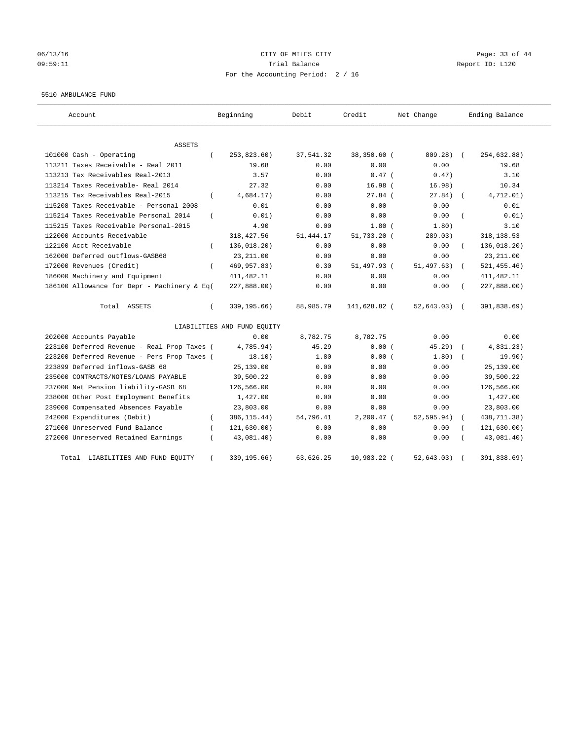## 06/13/16 Page: 33 of 44 09:59:11 Trial Balance Report ID: L120 For the Accounting Period: 2 / 16

#### 5510 AMBULANCE FUND

| Account                                           | Beginning                   | Debit     | Credit       | Net Change  | Ending Balance             |
|---------------------------------------------------|-----------------------------|-----------|--------------|-------------|----------------------------|
| ASSETS                                            |                             |           |              |             |                            |
| 101000 Cash - Operating<br>$\left($               | 253,823.60)                 | 37,541.32 | 38,350.60 (  | 809.28)     | 254,632.88)<br>$\sqrt{2}$  |
| 113211 Taxes Receivable - Real 2011               | 19.68                       | 0.00      | 0.00         | 0.00        | 19.68                      |
| 113213 Tax Receivables Real-2013                  | 3.57                        | 0.00      | $0.47$ (     | 0.47)       | 3.10                       |
| 113214 Taxes Receivable- Real 2014                | 27.32                       | 0.00      | 16.98(       | 16.98)      | 10.34                      |
| 113215 Tax Receivables Real-2015<br>$\left($      | 4,684.17)                   | 0.00      | $27.84$ (    | 27.84)      | 4,712.01)                  |
| 115208 Taxes Receivable - Personal 2008           | 0.01                        | 0.00      | 0.00         | 0.00        | 0.01                       |
| 115214 Taxes Receivable Personal 2014<br>$\left($ | 0.01)                       | 0.00      | 0.00         | 0.00        | 0.01)                      |
| 115215 Taxes Receivable Personal-2015             | 4.90                        | 0.00      | $1.80$ $($   | 1.80)       | 3.10                       |
| 122000 Accounts Receivable                        | 318, 427.56                 | 51,444.17 | 51,733.20 (  | 289.03)     | 318, 138.53                |
| 122100 Acct Receivable                            | 136,018.20)                 | 0.00      | 0.00         | 0.00        | 136,018.20)                |
| 162000 Deferred outflows-GASB68                   | 23, 211.00                  | 0.00      | 0.00         | 0.00        | 23, 211.00                 |
| 172000 Revenues (Credit)<br>$\left($              | 469, 957.83)                | 0.30      | 51,497.93 (  | 51, 497.63) | 521, 455.46)<br>$\sqrt{2}$ |
| 186000 Machinery and Equipment                    | 411, 482.11                 | 0.00      | 0.00         | 0.00        | 411, 482.11                |
| 186100 Allowance for Depr - Machinery & Eq(       | 227,888.00)                 | 0.00      | 0.00         | 0.00        | 227,888.00)                |
| Total ASSETS<br>$\left($                          | 339, 195.66)                | 88,985.79 | 141,628.82 ( | 52, 643.03) | 391,838.69)                |
|                                                   | LIABILITIES AND FUND EQUITY |           |              |             |                            |
| 202000 Accounts Payable                           | 0.00                        | 8,782.75  | 8,782.75     | 0.00        | 0.00                       |
| 223100 Deferred Revenue - Real Prop Taxes (       | 4,785.94)                   | 45.29     | 0.00(        | 45.29)      | 4,831.23)                  |
| 223200 Deferred Revenue - Pers Prop Taxes (       | 18.10)                      | 1.80      | 0.00(        | 1.80)       | 19.90)                     |
| 223899 Deferred inflows-GASB 68                   | 25,139.00                   | 0.00      | 0.00         | 0.00        | 25, 139.00                 |
| 235000 CONTRACTS/NOTES/LOANS PAYABLE              | 39,500.22                   | 0.00      | 0.00         | 0.00        | 39,500.22                  |
| 237000 Net Pension liability-GASB 68              | 126,566.00                  | 0.00      | 0.00         | 0.00        | 126,566.00                 |
| 238000 Other Post Employment Benefits             | 1,427.00                    | 0.00      | 0.00         | 0.00        | 1,427.00                   |
| 239000 Compensated Absences Payable               | 23,803.00                   | 0.00      | 0.00         | 0.00        | 23,803.00                  |
| 242000 Expenditures (Debit)<br>$\left($           | 386, 115.44)                | 54,796.41 | $2,200.47$ ( | 52,595.94)  | 438,711.38)                |
| 271000 Unreserved Fund Balance                    | 121, 630.00)                | 0.00      | 0.00         | 0.00        | 121,630.00)                |
| 272000 Unreserved Retained Earnings               | 43,081.40)                  | 0.00      | 0.00         | 0.00        | 43,081.40)                 |
| LIABILITIES AND FUND EQUITY<br>Total              | 339,195.66)                 | 63,626.25 | 10,983.22 (  | 52,643.03)  | 391,838.69)                |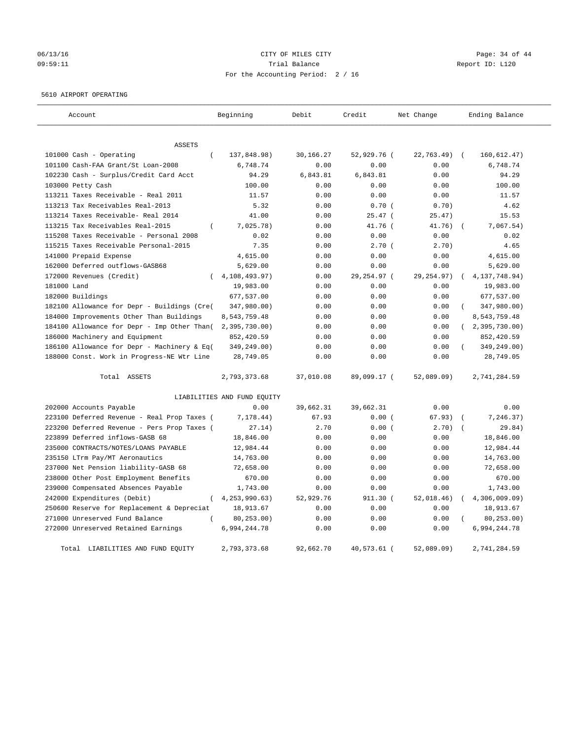# 06/13/16 Page: 34 of 44 09:59:11 Trial Balance Report ID: L120 For the Accounting Period: 2 / 16

#### 5610 AIRPORT OPERATING

| Account                                      | Beginning                   | Debit     | Credit       | Net Change  | Ending Balance              |
|----------------------------------------------|-----------------------------|-----------|--------------|-------------|-----------------------------|
|                                              |                             |           |              |             |                             |
| ASSETS                                       |                             |           |              |             |                             |
| 101000 Cash - Operating<br>$\overline{(\ }$  | 137,848.98)                 | 30,166.27 | 52,929.76 (  | 22,763.49)  | 160, 612.47)<br>$\sqrt{2}$  |
| 101100 Cash-FAA Grant/St Loan-2008           | 6,748.74                    | 0.00      | 0.00         | 0.00        | 6,748.74                    |
| 102230 Cash - Surplus/Credit Card Acct       | 94.29                       | 6,843.81  | 6,843.81     | 0.00        | 94.29                       |
| 103000 Petty Cash                            | 100.00                      | 0.00      | 0.00         | 0.00        | 100.00                      |
| 113211 Taxes Receivable - Real 2011          | 11.57                       | 0.00      | 0.00         | 0.00        | 11.57                       |
| 113213 Tax Receivables Real-2013             | 5.32                        | 0.00      | 0.70(        | 0.70)       | 4.62                        |
| 113214 Taxes Receivable- Real 2014           | 41.00                       | 0.00      | $25.47$ (    | 25.47)      | 15.53                       |
| 113215 Tax Receivables Real-2015<br>$\left($ | 7,025.78)                   | 0.00      | 41.76 (      | 41.76)      | 7,067.54)                   |
| 115208 Taxes Receivable - Personal 2008      | 0.02                        | 0.00      | 0.00         | 0.00        | 0.02                        |
| 115215 Taxes Receivable Personal-2015        | 7.35                        | 0.00      | 2.70(        | 2.70)       | 4.65                        |
| 141000 Prepaid Expense                       | 4,615.00                    | 0.00      | 0.00         | 0.00        | 4,615.00                    |
| 162000 Deferred outflows-GASB68              | 5,629.00                    | 0.00      | 0.00         | 0.00        | 5,629.00                    |
| 172000 Revenues (Credit)                     | 4,108,493.97)               | 0.00      | 29, 254.97 ( | 29, 254.97) | 4, 137, 748.94)<br>$\left($ |
| 181000 Land                                  | 19,983.00                   | 0.00      | 0.00         | 0.00        | 19,983.00                   |
| 182000 Buildings                             | 677,537.00                  | 0.00      | 0.00         | 0.00        | 677,537.00                  |
| 182100 Allowance for Depr - Buildings (Cre(  | 347,980.00)                 | 0.00      | 0.00         | 0.00        | 347,980.00)                 |
| 184000 Improvements Other Than Buildings     | 8,543,759.48                | 0.00      | 0.00         | 0.00        | 8,543,759.48                |
| 184100 Allowance for Depr - Imp Other Than(  | 2, 395, 730.00              | 0.00      | 0.00         | 0.00        | (2, 395, 730.00)            |
| 186000 Machinery and Equipment               | 852,420.59                  | 0.00      | 0.00         | 0.00        | 852,420.59                  |
| 186100 Allowance for Depr - Machinery & Eq(  | 349,249.00)                 | 0.00      | 0.00         | 0.00        | 349,249.00)                 |
| 188000 Const. Work in Progress-NE Wtr Line   | 28,749.05                   | 0.00      | 0.00         | 0.00        | 28,749.05                   |
| Total ASSETS                                 | 2,793,373.68                | 37,010.08 | 89,099.17 (  | 52,089.09)  | 2,741,284.59                |
|                                              | LIABILITIES AND FUND EQUITY |           |              |             |                             |
| 202000 Accounts Payable                      | 0.00                        | 39,662.31 | 39,662.31    | 0.00        | 0.00                        |
| 223100 Deferred Revenue - Real Prop Taxes (  | 7,178.44)                   | 67.93     | 0.00(        | 67.93)      | 7,246.37)                   |
| 223200 Deferred Revenue - Pers Prop Taxes (  | 27.14)                      | 2.70      | 0.00(        | 2.70)       | 29.84)                      |
| 223899 Deferred inflows-GASB 68              | 18,846.00                   | 0.00      | 0.00         | 0.00        | 18,846.00                   |
| 235000 CONTRACTS/NOTES/LOANS PAYABLE         | 12,984.44                   | 0.00      | 0.00         | 0.00        | 12,984.44                   |
| 235150 LTrm Pay/MT Aeronautics               | 14,763.00                   | 0.00      | 0.00         | 0.00        | 14,763.00                   |
| 237000 Net Pension liability-GASB 68         | 72,658.00                   | 0.00      | 0.00         | 0.00        | 72,658.00                   |
| 238000 Other Post Employment Benefits        | 670.00                      | 0.00      | 0.00         | 0.00        | 670.00                      |
| 239000 Compensated Absences Payable          | 1,743.00                    | 0.00      | 0.00         | 0.00        | 1,743.00                    |
| 242000 Expenditures (Debit)<br>$\left($      | 4, 253, 990.63)             | 52,929.76 | 911.30 (     | 52,018.46)  | 4,306,009.09                |
| 250600 Reserve for Replacement & Depreciat   | 18,913.67                   | 0.00      | 0.00         | 0.00        | 18,913.67                   |
| 271000 Unreserved Fund Balance               | 80, 253.00)                 | 0.00      | 0.00         | 0.00        | 80, 253.00)                 |
| 272000 Unreserved Retained Earnings          | 6,994,244.78                | 0.00      | 0.00         | 0.00        | 6,994,244.78                |
| Total LIABILITIES AND FUND EQUITY            | 2,793,373.68                | 92,662.70 | 40,573.61 (  | 52,089.09)  | 2,741,284.59                |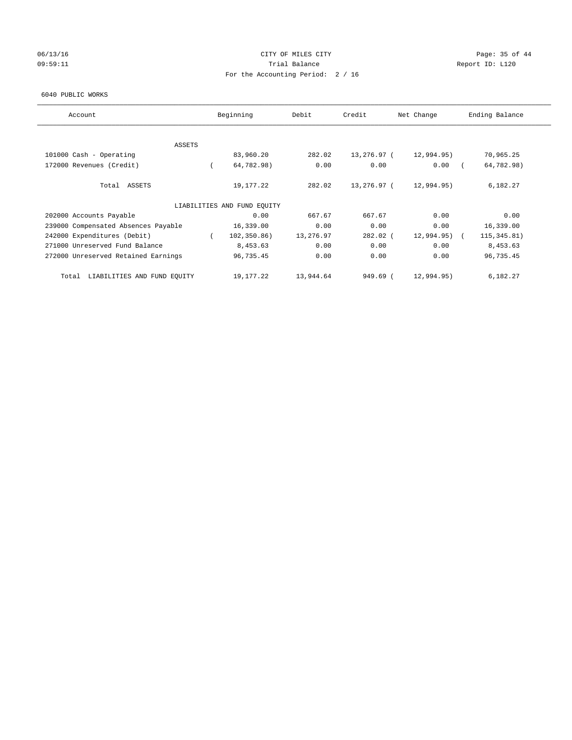## 06/13/16 Page: 35 of 44 09:59:11 **Trial Balance Constanting Trial Balance Report ID:** L120 For the Accounting Period: 2 / 16

#### 6040 PUBLIC WORKS

| Account                              | Beginning                   | Debit     | Credit      | Net Change | Ending Balance |
|--------------------------------------|-----------------------------|-----------|-------------|------------|----------------|
| <b>ASSETS</b>                        |                             |           |             |            |                |
| 101000 Cash - Operating              | 83,960.20                   | 282.02    | 13,276.97 ( | 12,994.95) | 70,965.25      |
| 172000 Revenues (Credit)             | 64,782.98)                  | 0.00      | 0.00        | 0.00       | 64,782.98)     |
| Total ASSETS                         | 19,177.22                   | 282.02    | 13,276.97 ( | 12,994.95) | 6,182.27       |
|                                      | LIABILITIES AND FUND EQUITY |           |             |            |                |
| 202000 Accounts Payable              | 0.00                        | 667.67    | 667.67      | 0.00       | 0.00           |
| 239000 Compensated Absences Payable  | 16,339.00                   | 0.00      | 0.00        | 0.00       | 16,339.00      |
| 242000 Expenditures (Debit)          | 102, 350.86)                | 13,276.97 | 282.02 (    | 12,994.95) | 115, 345.81)   |
| 271000 Unreserved Fund Balance       | 8,453.63                    | 0.00      | 0.00        | 0.00       | 8,453.63       |
| 272000 Unreserved Retained Earnings  | 96,735.45                   | 0.00      | 0.00        | 0.00       | 96,735.45      |
| LIABILITIES AND FUND EQUITY<br>Total | 19,177.22                   | 13,944.64 | 949.69 (    | 12,994.95) | 6,182.27       |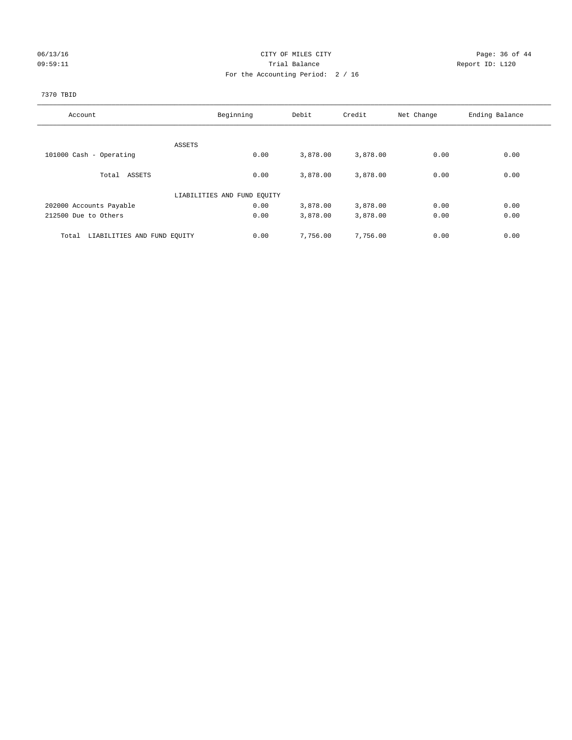## 06/13/16 Page: 36 of 44 09:59:11 **Trial Balance Constanting Trial Balance Report ID:** L120 For the Accounting Period: 2 / 16

## 7370 TBID

| Account                              | Beginning                   | Debit    | Credit   | Net Change | Ending Balance |
|--------------------------------------|-----------------------------|----------|----------|------------|----------------|
|                                      |                             |          |          |            |                |
|                                      | ASSETS                      |          |          |            |                |
| 101000 Cash - Operating              | 0.00                        | 3,878.00 | 3,878.00 | 0.00       | 0.00           |
| Total ASSETS                         | 0.00                        | 3,878.00 | 3,878.00 | 0.00       | 0.00           |
|                                      | LIABILITIES AND FUND EQUITY |          |          |            |                |
| 202000 Accounts Payable              | 0.00                        | 3,878.00 | 3,878.00 | 0.00       | 0.00           |
| 212500 Due to Others                 | 0.00                        | 3,878.00 | 3,878.00 | 0.00       | 0.00           |
| LIABILITIES AND FUND EQUITY<br>Total | 0.00                        | 7,756.00 | 7,756.00 | 0.00       | 0.00           |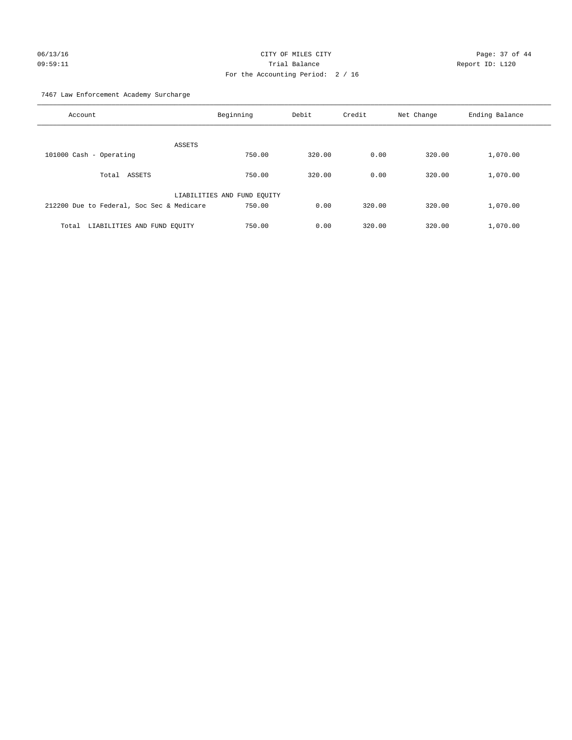# 06/13/16 Page: 37 of 44 09:59:11 Trial Balance Report ID: L120 For the Accounting Period: 2 / 16

7467 Law Enforcement Academy Surcharge

| Account                                   | Beginning                   | Debit  | Credit | Net Change | Ending Balance |
|-------------------------------------------|-----------------------------|--------|--------|------------|----------------|
| <b>ASSETS</b>                             |                             |        |        |            |                |
| 101000 Cash - Operating                   | 750.00                      | 320.00 | 0.00   | 320.00     | 1,070.00       |
| Total ASSETS                              | 750.00                      | 320.00 | 0.00   | 320.00     | 1,070.00       |
|                                           | LIABILITIES AND FUND EQUITY |        |        |            |                |
| 212200 Due to Federal, Soc Sec & Medicare | 750.00                      | 0.00   | 320.00 | 320.00     | 1,070.00       |
| LIABILITIES AND FUND EQUITY<br>Total      | 750.00                      | 0.00   | 320.00 | 320.00     | 1,070.00       |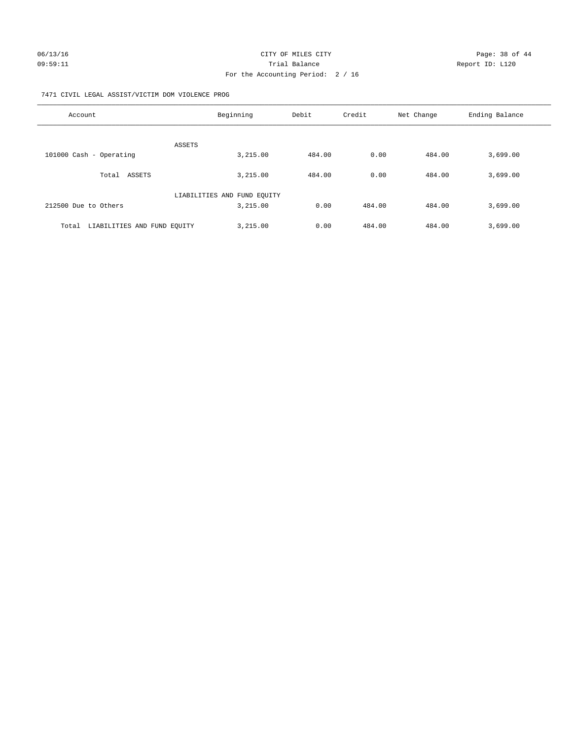#### 7471 CIVIL LEGAL ASSIST/VICTIM DOM VIOLENCE PROG

| Account                              | Beginning                   | Debit  | Credit | Net Change | Ending Balance |
|--------------------------------------|-----------------------------|--------|--------|------------|----------------|
| <b>ASSETS</b>                        |                             |        |        |            |                |
| 101000 Cash - Operating              | 3,215.00                    | 484.00 | 0.00   | 484.00     | 3,699.00       |
| ASSETS<br>Total                      | 3,215.00                    | 484.00 | 0.00   | 484.00     | 3,699.00       |
|                                      | LIABILITIES AND FUND EQUITY |        |        |            |                |
| 212500 Due to Others                 | 3,215.00                    | 0.00   | 484.00 | 484.00     | 3,699.00       |
| LIABILITIES AND FUND EQUITY<br>Total | 3,215.00                    | 0.00   | 484.00 | 484.00     | 3,699.00       |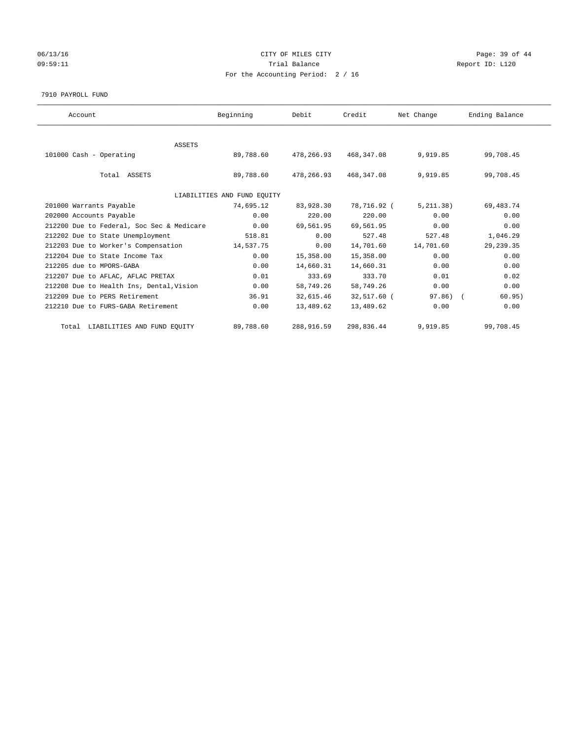## 06/13/16 Page: 39 of 44 09:59:11 **Trial Balance Constanting Trial Balance Report ID:** L120 For the Accounting Period: 2 / 16

#### 7910 PAYROLL FUND

| Account                                   | Beginning                   | Debit      | Credit      | Net Change | Ending Balance |
|-------------------------------------------|-----------------------------|------------|-------------|------------|----------------|
|                                           |                             |            |             |            |                |
| ASSETS                                    |                             |            |             |            |                |
| 101000 Cash - Operating                   | 89,788.60                   | 478,266.93 | 468,347.08  | 9,919.85   | 99,708.45      |
| Total ASSETS                              | 89,788.60                   | 478,266.93 | 468, 347.08 | 9,919.85   | 99,708.45      |
|                                           | LIABILITIES AND FUND EQUITY |            |             |            |                |
| 201000 Warrants Payable                   | 74,695.12                   | 83,928.30  | 78,716.92 ( | 5, 211.38) | 69, 483. 74    |
| 202000 Accounts Payable                   | 0.00                        | 220.00     | 220.00      | 0.00       | 0.00           |
| 212200 Due to Federal, Soc Sec & Medicare | 0.00                        | 69,561.95  | 69,561.95   | 0.00       | 0.00           |
| 212202 Due to State Unemployment          | 518.81                      | 0.00       | 527.48      | 527.48     | 1,046.29       |
| 212203 Due to Worker's Compensation       | 14,537.75                   | 0.00       | 14,701.60   | 14,701.60  | 29, 239.35     |
| 212204 Due to State Income Tax            | 0.00                        | 15,358.00  | 15,358.00   | 0.00       | 0.00           |
| 212205 due to MPORS-GABA                  | 0.00                        | 14,660.31  | 14,660.31   | 0.00       | 0.00           |
| 212207 Due to AFLAC, AFLAC PRETAX         | 0.01                        | 333.69     | 333.70      | 0.01       | 0.02           |
| 212208 Due to Health Ins, Dental, Vision  | 0.00                        | 58,749.26  | 58,749.26   | 0.00       | 0.00           |
| 212209 Due to PERS Retirement             | 36.91                       | 32,615.46  | 32,517.60 ( | $97.86)$ ( | 60.95)         |
| 212210 Due to FURS-GABA Retirement        | 0.00                        | 13,489.62  | 13,489.62   | 0.00       | 0.00           |
| Total LIABILITIES AND FUND EQUITY         | 89,788.60                   | 288,916.59 | 298,836.44  | 9,919.85   | 99,708.45      |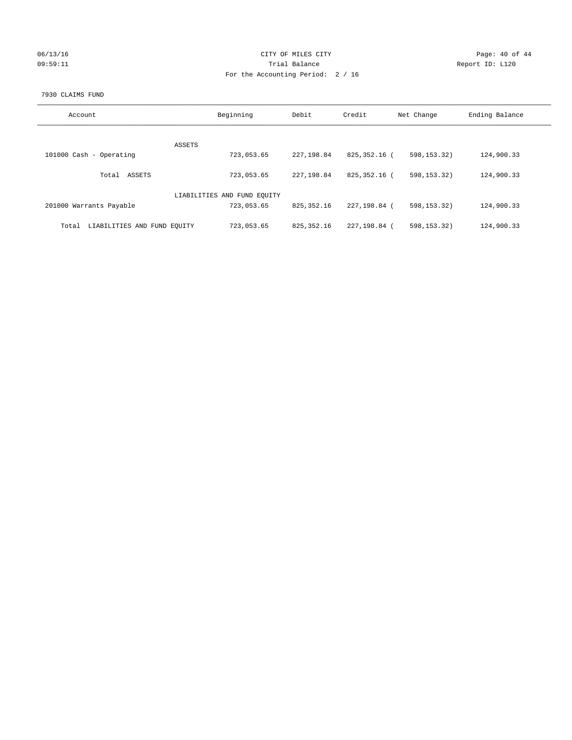| 06/13/16 |  |
|----------|--|
| 09:59:11 |  |

## CITY OF MILES CITY CONTROL CONTROL CITY CONTROL PAGE: 40 of 44 Prial Balance **Report ID:** L120 For the Accounting Period: 2 / 16

#### 7930 CLAIMS FUND

| Account                              | Beginning                   | Debit        | Credit       | Net Change    | Ending Balance |
|--------------------------------------|-----------------------------|--------------|--------------|---------------|----------------|
|                                      |                             |              |              |               |                |
| ASSETS                               |                             |              |              |               |                |
| 101000 Cash - Operating              | 723,053.65                  | 227, 198.84  | 825,352.16 ( | 598, 153, 32) | 124,900.33     |
| ASSETS<br>Total                      | 723,053.65                  | 227, 198, 84 | 825,352.16 ( | 598.153.32    | 124,900.33     |
|                                      | LIABILITIES AND FUND EQUITY |              |              |               |                |
| 201000 Warrants Payable              | 723,053.65                  | 825, 352.16  | 227,198.84 ( | 598, 153. 32) | 124,900.33     |
| LIABILITIES AND FUND EQUITY<br>Total | 723,053.65                  | 825, 352.16  | 227,198.84 ( | 598.153.32    | 124,900.33     |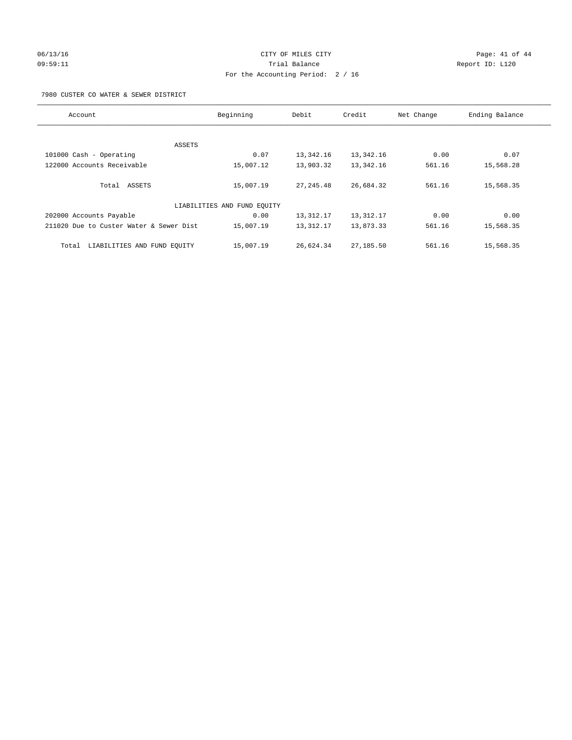# 06/13/16 Page: 41 of 44 09:59:11 Trial Balance Report ID: L120 For the Accounting Period: 2 / 16

7980 CUSTER CO WATER & SEWER DISTRICT

| Account                                 | Beginning                   | Debit       | Credit    | Net Change | Ending Balance |
|-----------------------------------------|-----------------------------|-------------|-----------|------------|----------------|
|                                         |                             |             |           |            |                |
| ASSETS                                  |                             |             |           |            |                |
| 101000 Cash - Operating                 | 0.07                        | 13,342.16   | 13,342.16 | 0.00       | 0.07           |
| 122000 Accounts Receivable              | 15,007.12                   | 13,903.32   | 13,342.16 | 561.16     | 15,568.28      |
| Total ASSETS                            | 15,007.19                   | 27, 245, 48 | 26,684.32 | 561.16     | 15,568.35      |
|                                         | LIABILITIES AND FUND EQUITY |             |           |            |                |
| 202000 Accounts Payable                 | 0.00                        | 13,312.17   | 13,312.17 | 0.00       | 0.00           |
| 211020 Due to Custer Water & Sewer Dist | 15,007.19                   | 13,312.17   | 13,873.33 | 561.16     | 15,568.35      |
| LIABILITIES AND FUND EOUITY<br>Total    | 15,007.19                   | 26,624.34   | 27,185.50 | 561.16     | 15,568.35      |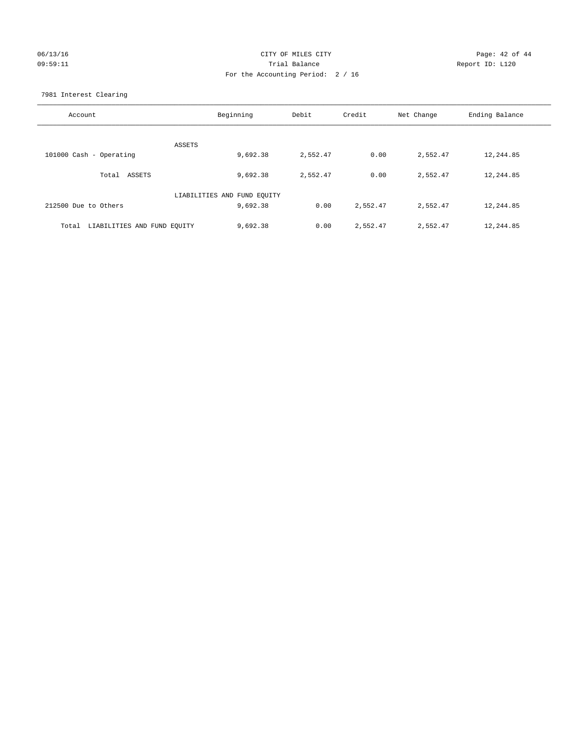## 06/13/16 Page: 42 of 44 09:59:11 Trial Balance Report ID: L120 For the Accounting Period: 2 / 16

7981 Interest Clearing

| Account                              | Beginning                   | Debit    | Credit   | Net Change | Ending Balance |
|--------------------------------------|-----------------------------|----------|----------|------------|----------------|
|                                      | ASSETS                      |          |          |            |                |
| 101000 Cash - Operating              | 9,692.38                    | 2,552.47 | 0.00     | 2,552.47   | 12,244.85      |
| Total ASSETS                         | 9,692.38                    | 2,552.47 | 0.00     | 2,552.47   | 12,244.85      |
|                                      | LIABILITIES AND FUND EQUITY |          |          |            |                |
| 212500 Due to Others                 | 9,692.38                    | 0.00     | 2,552.47 | 2,552.47   | 12,244.85      |
| LIABILITIES AND FUND EQUITY<br>Total | 9,692.38                    | 0.00     | 2,552.47 | 2,552.47   | 12,244.85      |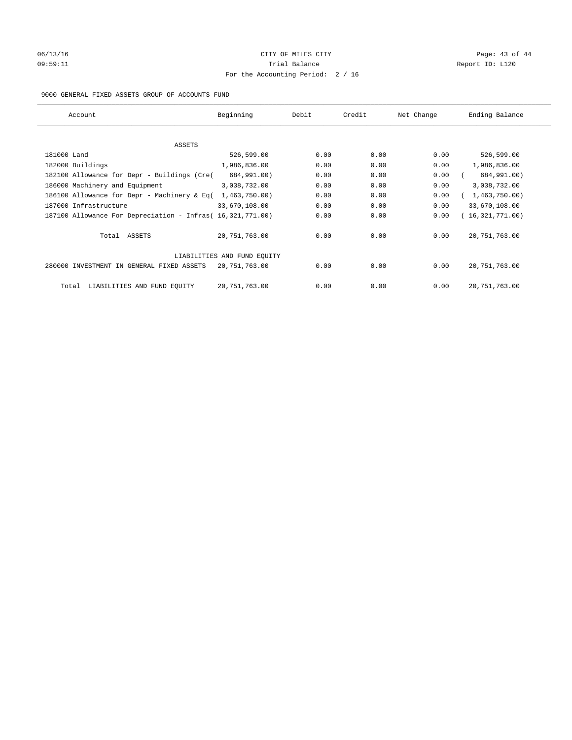# 06/13/16 Page: 43 of 44 09:59:11 **Trial Balance Constanting Trial Balance Report ID:** L120 For the Accounting Period: 2 / 16

## 9000 GENERAL FIXED ASSETS GROUP OF ACCOUNTS FUND

| Account                                                    | Beginning                   | Debit | Credit | Net Change | Ending Balance  |
|------------------------------------------------------------|-----------------------------|-------|--------|------------|-----------------|
| ASSETS                                                     |                             |       |        |            |                 |
| 181000 Land                                                | 526,599.00                  | 0.00  | 0.00   | 0.00       | 526,599.00      |
| 182000 Buildings                                           | 1,986,836.00                | 0.00  | 0.00   | 0.00       | 1,986,836.00    |
| 182100 Allowance for Depr - Buildings (Cre(                | 684,991.00)                 | 0.00  | 0.00   | 0.00       | 684,991.00)     |
| 186000 Machinery and Equipment                             | 3,038,732.00                | 0.00  | 0.00   | 0.00       | 3,038,732.00    |
| 186100 Allowance for Depr - Machinery & Eq(                | 1,463,750.00)               | 0.00  | 0.00   | 0.00       | 1,463,750.00)   |
| 187000 Infrastructure                                      | 33,670,108.00               | 0.00  | 0.00   | 0.00       | 33,670,108.00   |
| 187100 Allowance For Depreciation - Infras( 16,321,771.00) |                             | 0.00  | 0.00   | 0.00       | 16,321,771.00)  |
| Total ASSETS                                               | 20,751,763.00               | 0.00  | 0.00   | 0.00       | 20, 751, 763.00 |
|                                                            | LIABILITIES AND FUND EQUITY |       |        |            |                 |
| 280000 INVESTMENT IN GENERAL FIXED ASSETS                  | 20,751,763.00               | 0.00  | 0.00   | 0.00       | 20, 751, 763.00 |
| LIABILITIES AND FUND EQUITY<br>Total                       | 20, 751, 763.00             | 0.00  | 0.00   | 0.00       | 20, 751, 763.00 |